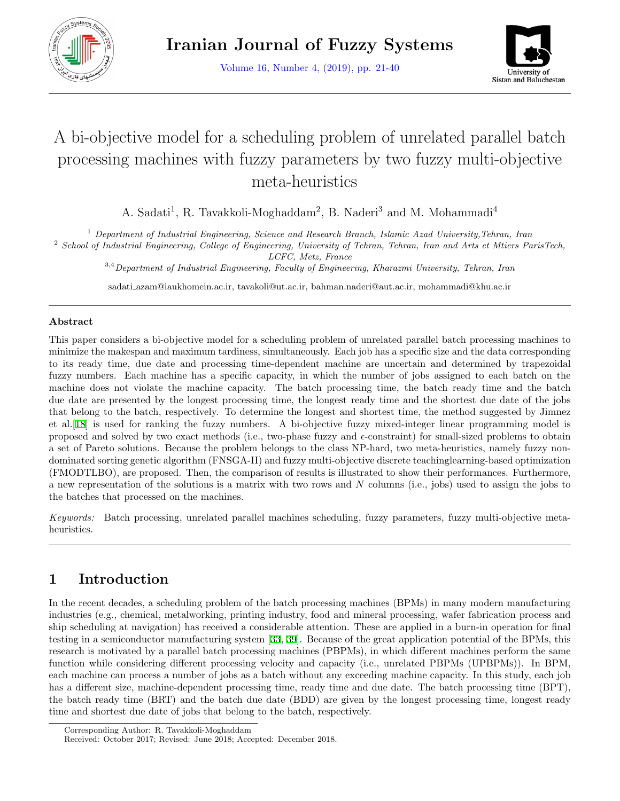

Volume 16, Number 4, (2019), pp. 21-40



# A bi-objective model for a scheduling problem of unrelated parallel batch processing machines with fuzzy parameters by two fuzzy multi-objective meta-heuristics

A. Sadati<sup>1</sup>, R. Tavakkoli-Moghaddam<sup>2</sup>, B. Naderi<sup>3</sup> and M. Mohammadi<sup>4</sup>

<sup>1</sup> *Department of Industrial Engineering, Science and Research Branch, Islamic Azad University,Tehran, Iran*

<sup>2</sup> *School of Industrial Engineering, College of Engineering, University of Tehran, Tehran, Iran and Arts et Mtiers ParisTech, LCFC, Metz, France*

3,4*Department of Industrial Engineering, Faculty of Engineering, Kharazmi University, Tehran, Iran*

sadati azam@iaukhomein.ac.ir, tavakoli@ut.ac.ir, bahman.naderi@aut.ac.ir, mohammadi@khu.ac.ir

# **Abstract**

This paper considers a bi-objective model for a scheduling problem of unrelated parallel batch processing machines to minimize the makespan and maximum tardiness, simultaneously. Each job has a specific size and the data corresponding to its ready time, due date and processing time-dependent machine are uncertain and determined by trapezoidal fuzzy numbers. Each machine has a specific capacity, in which the number of jobs assigned to each batch on the machine does not violate the machine capacity. The batch processing time, the batch ready time and the batch due date are presented by the longest processing time, the longest ready time and the shortest due date of the jobs that belong to the batch, respectively. To determine the longest and shortest time, the method suggested by Jimnez et al.[\[18](#page-18-0)] is used for ranking the fuzzy numbers. A bi-objective fuzzy mixed-integer linear programming model is proposed and solved by two exact methods (i.e., two-phase fuzzy and *ϵ*-constraint) for small-sized problems to obtain a set of Pareto solutions. Because the problem belongs to the class NP-hard, two meta-heuristics, namely fuzzy nondominated sorting genetic algorithm (FNSGA-II) and fuzzy multi-objective discrete teachinglearning-based optimization (FMODTLBO), are proposed. Then, the comparison of results is illustrated to show their performances. Furthermore, a new representation of the solutions is a matrix with two rows and *N* columns (i.e., jobs) used to assign the jobs to the batches that processed on the machines.

*Keywords:* Batch processing, unrelated parallel machines scheduling, fuzzy parameters, fuzzy multi-objective metaheuristics.

# **1 Introduction**

In the recent decades, a scheduling problem of the batch processing machines (BPMs) in many modern manufacturing industries (e.g., chemical, metalworking, printing industry, food and mineral processing, wafer fabrication process and ship scheduling at navigation) has received a considerable attention. These are applied in a burn-in operation for final testing in a semiconductor manufacturing system [\[33](#page-18-1), [39](#page-19-0)]. Because of the great application potential of the BPMs, this research is motivated by a parallel batch processing machines (PBPMs), in which different machines perform the same function while considering different processing velocity and capacity (i.e., unrelated PBPMs (UPBPMs)). In BPM, each machine can process a number of jobs as a batch without any exceeding machine capacity. In this study, each job has a different size, machine-dependent processing time, ready time and due date. The batch processing time (BPT), the batch ready time (BRT) and the batch due date (BDD) are given by the longest processing time, longest ready time and shortest due date of jobs that belong to the batch, respectively.

Corresponding Author: R. Tavakkoli-Moghaddam

Received: October 2017; Revised: June 2018; Accepted: December 2018.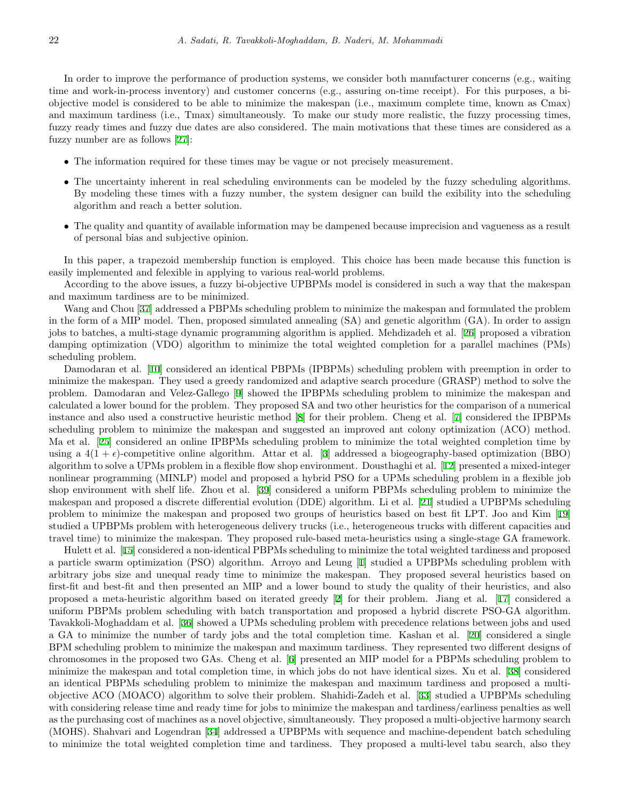In order to improve the performance of production systems, we consider both manufacturer concerns (e.g., waiting time and work-in-process inventory) and customer concerns (e.g., assuring on-time receipt). For this purposes, a biobjective model is considered to be able to minimize the makespan (i.e., maximum complete time, known as Cmax) and maximum tardiness (i.e., Tmax) simultaneously. To make our study more realistic, the fuzzy processing times, fuzzy ready times and fuzzy due dates are also considered. The main motivations that these times are considered as a fuzzy number are as follows [[27\]](#page-18-2):

- The information required for these times may be vague or not precisely measurement.
- The uncertainty inherent in real scheduling environments can be modeled by the fuzzy scheduling algorithms. By modeling these times with a fuzzy number, the system designer can build the exibility into the scheduling algorithm and reach a better solution.
- The quality and quantity of available information may be dampened because imprecision and vagueness as a result of personal bias and subjective opinion.

In this paper, a trapezoid membership function is employed. This choice has been made because this function is easily implemented and felexible in applying to various real-world problems.

According to the above issues, a fuzzy bi-objective UPBPMs model is considered in such a way that the makespan and maximum tardiness are to be minimized.

Wang and Chou [\[37](#page-19-1)] addressed a PBPMs scheduling problem to minimize the makespan and formulated the problem in the form of a MIP model. Then, proposed simulated annealing (SA) and genetic algorithm (GA). In order to assign jobs to batches, a multi-stage dynamic programming algorithm is applied. Mehdizadeh et al. [[26](#page-18-3)] proposed a vibration damping optimization (VDO) algorithm to minimize the total weighted completion for a parallel machines (PMs) scheduling problem.

Damodaran et al. [[10\]](#page-17-0) considered an identical PBPMs (IPBPMs) scheduling problem with preemption in order to minimize the makespan. They used a greedy randomized and adaptive search procedure (GRASP) method to solve the problem. Damodaran and Velez-Gallego [\[9](#page-17-1)] showed the IPBPMs scheduling problem to minimize the makespan and calculated a lower bound for the problem. They proposed SA and two other heuristics for the comparison of a numerical instance and also used a constructive heuristic method [[8](#page-16-0)] for their problem. Cheng et al. [[7](#page-16-1)] considered the IPBPMs scheduling problem to minimize the makespan and suggested an improved ant colony optimization (ACO) method. Ma et al. [[25\]](#page-18-4) considered an online IPBPMs scheduling problem to minimize the total weighted completion time by using a  $4(1+\epsilon)$ -competitive online algorithm. Attar et al. [[3\]](#page-16-2) addressed a biogeography-based optimization (BBO) algorithm to solve a UPMs problem in a flexible flow shop environment. Dousthaghi et al. [[12](#page-17-2)] presented a mixed-integer nonlinear programming (MINLP) model and proposed a hybrid PSO for a UPMs scheduling problem in a flexible job shop environment with shelf life. Zhou et al. [[39\]](#page-19-0) considered a uniform PBPMs scheduling problem to minimize the makespan and proposed a discrete differential evolution (DDE) algorithm. Li et al. [[21\]](#page-18-5) studied a UPBPMs scheduling problem to minimize the makespan and proposed two groups of heuristics based on best fit LPT. Joo and Kim [[19](#page-18-6)] studied a UPBPMs problem with heterogeneous delivery trucks (i.e., heterogeneous trucks with different capacities and travel time) to minimize the makespan. They proposed rule-based meta-heuristics using a single-stage GA framework.

Hulett et al. [\[15](#page-17-3)] considered a non-identical PBPMs scheduling to minimize the total weighted tardiness and proposed a particle swarm optimization (PSO) algorithm. Arroyo and Leung [[1\]](#page-16-3) studied a UPBPMs scheduling problem with arbitrary jobs size and unequal ready time to minimize the makespan. They proposed several heuristics based on first-fit and best-fit and then presented an MIP and a lower bound to study the quality of their heuristics, and also proposed a meta-heuristic algorithm based on iterated greedy [\[2](#page-16-4)] for their problem. Jiang et al. [[17\]](#page-18-7) considered a uniform PBPMs problem scheduling with batch transportation and proposed a hybrid discrete PSO-GA algorithm. Tavakkoli-Moghaddam et al. [[36\]](#page-19-2) showed a UPMs scheduling problem with precedence relations between jobs and used a GA to minimize the number of tardy jobs and the total completion time. Kashan et al. [[20\]](#page-18-8) considered a single BPM scheduling problem to minimize the makespan and maximum tardiness. They represented two different designs of chromosomes in the proposed two GAs. Cheng et al. [\[6](#page-16-5)] presented an MIP model for a PBPMs scheduling problem to minimize the makespan and total completion time, in which jobs do not have identical sizes. Xu et al. [[38](#page-19-3)] considered an identical PBPMs scheduling problem to minimize the makespan and maximum tardiness and proposed a multiobjective ACO (MOACO) algorithm to solve their problem. Shahidi-Zadeh et al. [[33\]](#page-18-1) studied a UPBPMs scheduling with considering release time and ready time for jobs to minimize the makespan and tardiness/earliness penalties as well as the purchasing cost of machines as a novel objective, simultaneously. They proposed a multi-objective harmony search (MOHS). Shahvari and Logendran [[34](#page-18-9)] addressed a UPBPMs with sequence and machine-dependent batch scheduling to minimize the total weighted completion time and tardiness. They proposed a multi-level tabu search, also they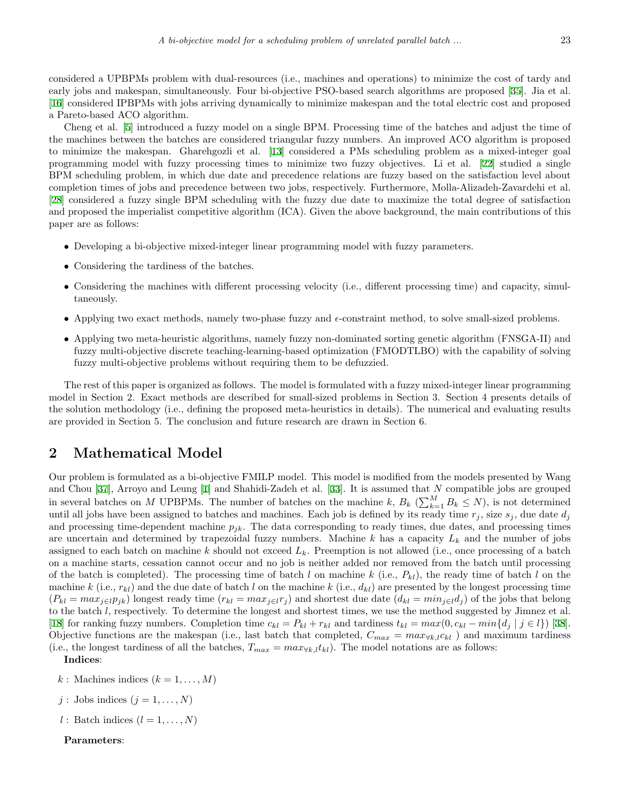considered a UPBPMs problem with dual-resources (i.e., machines and operations) to minimize the cost of tardy and early jobs and makespan, simultaneously. Four bi-objective PSO-based search algorithms are proposed [[35\]](#page-18-10). Jia et al. [[16\]](#page-17-4) considered IPBPMs with jobs arriving dynamically to minimize makespan and the total electric cost and proposed a Pareto-based ACO algorithm.

Cheng et al. [\[5](#page-16-6)] introduced a fuzzy model on a single BPM. Processing time of the batches and adjust the time of the machines between the batches are considered triangular fuzzy numbers. An improved ACO algorithm is proposed to minimize the makespan. Gharehgozli et al. [\[13](#page-17-5)] considered a PMs scheduling problem as a mixed-integer goal programming model with fuzzy processing times to minimize two fuzzy objectives. Li et al. [\[22](#page-18-11)] studied a single BPM scheduling problem, in which due date and precedence relations are fuzzy based on the satisfaction level about completion times of jobs and precedence between two jobs, respectively. Furthermore, Molla-Alizadeh-Zavardehi et al. [[28\]](#page-18-12) considered a fuzzy single BPM scheduling with the fuzzy due date to maximize the total degree of satisfaction and proposed the imperialist competitive algorithm (ICA). Given the above background, the main contributions of this paper are as follows:

- Developing a bi-objective mixed-integer linear programming model with fuzzy parameters.
- *•* Considering the tardiness of the batches.
- Considering the machines with different processing velocity (i.e., different processing time) and capacity, simultaneously.
- Applying two exact methods, namely two-phase fuzzy and *∈*-constraint method, to solve small-sized problems.
- Applying two meta-heuristic algorithms, namely fuzzy non-dominated sorting genetic algorithm (FNSGA-II) and fuzzy multi-objective discrete teaching-learning-based optimization (FMODTLBO) with the capability of solving fuzzy multi-objective problems without requiring them to be defuzzied.

The rest of this paper is organized as follows. The model is formulated with a fuzzy mixed-integer linear programming model in Section 2. Exact methods are described for small-sized problems in Section 3. Section 4 presents details of the solution methodology (i.e., defining the proposed meta-heuristics in details). The numerical and evaluating results are provided in Section 5. The conclusion and future research are drawn in Section 6.

# **2 Mathematical Model**

Our problem is formulated as a bi-objective FMILP model. This model is modified from the models presented by Wang and Chou [[37\]](#page-19-1), Arroyo and Leung [[1\]](#page-16-3) and Shahidi-Zadeh et al. [\[33](#page-18-1)]. It is assumed that *N* compatible jobs are grouped in several batches on *M* UPBPMs. The number of batches on the machine  $k, B_k$  ( $\sum_{k=1}^{M} B_k \leq N$ ), is not determined until all jobs have been assigned to batches and machines. Each job is defined by its ready time  $r_j$ , size  $s_j$ , due date  $d_j$ and processing time-dependent machine *pjk*. The data corresponding to ready times, due dates, and processing times are uncertain and determined by trapezoidal fuzzy numbers. Machine *k* has a capacity *L<sup>k</sup>* and the number of jobs assigned to each batch on machine *k* should not exceed *Lk*. Preemption is not allowed (i.e., once processing of a batch on a machine starts, cessation cannot occur and no job is neither added nor removed from the batch until processing of the batch is completed). The processing time of batch *l* on machine *k* (i.e., *Pkl*), the ready time of batch *l* on the machine  $k$  (i.e.,  $r_{kl}$ ) and the due date of batch *l* on the machine  $k$  (i.e.,  $d_{kl}$ ) are presented by the longest processing time  $(P_{kl} = max_{i \in l} p_{ik})$  longest ready time  $(r_{kl} = max_{i \in l} r_i)$  and shortest due date  $(d_{kl} = min_{i \in l} d_i)$  of the jobs that belong to the batch *l*, respectively. To determine the longest and shortest times, we use the method suggested by Jimnez et al. [[18\]](#page-18-0) for ranking fuzzy numbers. Completion time  $c_{kl} = P_{kl} + r_{kl}$  and tardiness  $t_{kl} = max(0, c_{kl} - min\{d_i \mid j \in l\})$  [\[38](#page-19-3)]. Objective functions are the makespan (i.e., last batch that completed,  $C_{max} = max_{\forall k,l} c_{kl}$ ) and maximum tardiness (i.e., the longest tardiness of all the batches,  $T_{max} = max_{\forall k,l} t_{kl}$ ). The model notations are as follows:

**Indices**:

 $k:$  Machines indices  $(k = 1, \ldots, M)$ 

 $j:$  Jobs indices  $(j = 1, \ldots, N)$ 

*l* : Batch indices  $(l = 1, \ldots, N)$ 

**Parameters**: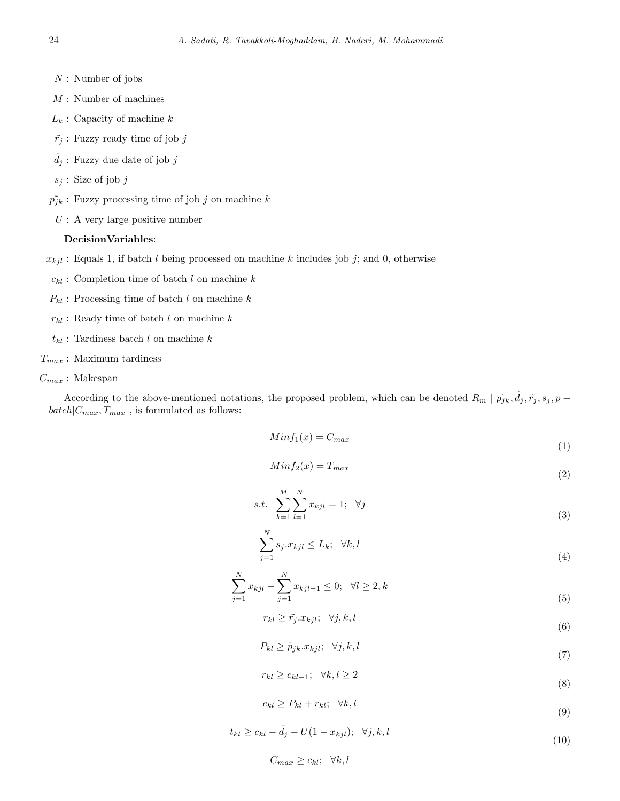- *N* : Number of jobs
- *M* : Number of machines
- *L<sup>k</sup>* : Capacity of machine *k*
- $\tilde{r}_j$  : Fuzzy ready time of job *j*
- $\tilde{d}_j$  : Fuzzy due date of job *j*
- *s<sup>j</sup>* : Size of job *j*
- $p_{jk}$ : Fuzzy processing time of job *j* on machine *k* 
	- *U* : A very large positive number

#### **DecisionVariables**:

- $x_{kjl}$ : Equals 1, if batch *l* being processed on machine *k* includes job *j*; and 0, otherwise
- $c_{kl}$  : Completion time of batch *l* on machine *k*
- $P_{kl}$ : Processing time of batch *l* on machine *k*
- *rkl* : Ready time of batch *l* on machine *k*
- $t_{kl}$ : Tardiness batch *l* on machine *k*
- *Tmax* : Maximum tardiness
- *Cmax* : Makespan

According to the above-mentioned notations, the proposed problem, which can be denoted  $R_m | p_{jk}$ ,  $\tilde{d}_j$ ,  $\tilde{r}_j$ ,  $s_j$ ,  $p$  $batch|C_{max}, T_{max}$ , is formulated as follows:

$$
Minf_1(x) = C_{max} \tag{1}
$$

$$
Minf_2(x) = T_{max} \tag{2}
$$

s.t. 
$$
\sum_{k=1}^{M} \sum_{l=1}^{N} x_{kjl} = 1; \quad \forall j
$$
 (3)

$$
\sum_{j=1}^{N} s_j \cdot x_{kjl} \le L_k; \quad \forall k, l \tag{4}
$$

$$
\sum_{j=1}^{N} x_{kjl} - \sum_{j=1}^{N} x_{kjl-1} \le 0; \quad \forall l \ge 2, k
$$
\n(5)

$$
r_{kl} \ge \tilde{r}_j \cdot x_{kjl}; \quad \forall j, k, l \tag{6}
$$

$$
P_{kl} \ge \tilde{p}_{jk}.x_{kjl}; \quad \forall j, k, l \tag{7}
$$

$$
r_{kl} \ge c_{kl-1}; \quad \forall k, l \ge 2
$$
\n
$$
(8)
$$

$$
c_{kl} \ge P_{kl} + r_{kl}; \quad \forall k, l \tag{9}
$$

 $t_{kl} \ge c_{kl} - \tilde{d}_j - U(1 - x_{kjl}); \forall j, k, l$ (10)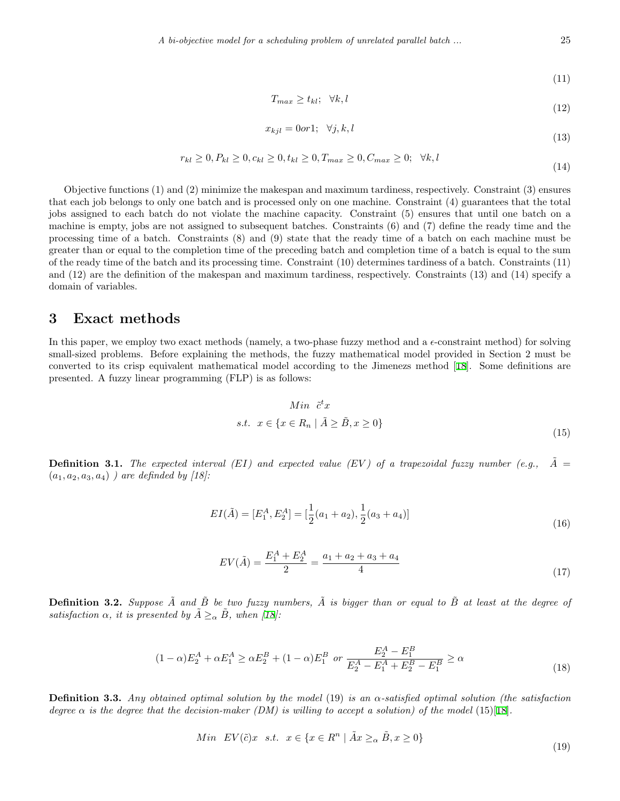$$
T_{max} \ge t_{kl}; \quad \forall k, l \tag{12}
$$

$$
x_{kjl} = 0 \text{or} 1; \quad \forall j, k, l \tag{18}
$$

$$
r_{kl} \ge 0, P_{kl} \ge 0, c_{kl} \ge 0, t_{kl} \ge 0, T_{max} \ge 0, C_{max} \ge 0; \quad \forall k, l
$$
\n(14)

Objective functions (1) and (2) minimize the makespan and maximum tardiness, respectively. Constraint (3) ensures that each job belongs to only one batch and is processed only on one machine. Constraint (4) guarantees that the total jobs assigned to each batch do not violate the machine capacity. Constraint (5) ensures that until one batch on a machine is empty, jobs are not assigned to subsequent batches. Constraints (6) and (7) define the ready time and the processing time of a batch. Constraints (8) and (9) state that the ready time of a batch on each machine must be greater than or equal to the completion time of the preceding batch and completion time of a batch is equal to the sum of the ready time of the batch and its processing time. Constraint (10) determines tardiness of a batch. Constraints (11) and (12) are the definition of the makespan and maximum tardiness, respectively. Constraints (13) and (14) specify a domain of variables.

# **3 Exact methods**

In this paper, we employ two exact methods (namely, a two-phase fuzzy method and a  $\epsilon$ -constraint method) for solving small-sized problems. Before explaining the methods, the fuzzy mathematical model provided in Section 2 must be converted to its crisp equivalent mathematical model according to the Jimenezs method [[18\]](#page-18-0). Some definitions are presented. A fuzzy linear programming (FLP) is as follows:

$$
Min \tilde{c}^t x
$$
  
s.t.  $x \in \{x \in R_n \mid \tilde{A} \ge \tilde{B}, x \ge 0\}$  (15)

**Definition 3.1.** The expected interval (*EI*) and expected value (*EV*) of a trapezoidal fuzzy number (e.g.,  $\tilde{A} =$  $(a_1, a_2, a_3, a_4)$  *)* are definded by [18]:

$$
EI(\tilde{A}) = [E_1^A, E_2^A] = [\frac{1}{2}(a_1 + a_2), \frac{1}{2}(a_3 + a_4)]
$$
\n(16)

$$
EV(\tilde{A}) = \frac{E_1^A + E_2^A}{2} = \frac{a_1 + a_2 + a_3 + a_4}{4}
$$
\n(17)

**Definition 3.2.** Suppose  $\tilde{A}$  and  $\tilde{B}$  be two fuzzy numbers,  $\tilde{A}$  is bigger than or equal to  $\tilde{B}$  at least at the degree of *satisfaction*  $\alpha$ *, it is presented by*  $\tilde{A} \geq_{\alpha} \tilde{B}$ *, when* [\[18](#page-18-0)]:

$$
(1 - \alpha)E_2^A + \alpha E_1^A \ge \alpha E_2^B + (1 - \alpha)E_1^B \text{ or } \frac{E_2^A - E_1^B}{E_2^A - E_1^A + E_2^B - E_1^B} \ge \alpha
$$
\n(18)

**Definition 3.3.** *Any obtained optimal solution by the model* (19) *is an α-satisfied optimal solution (the satisfaction degree*  $\alpha$  *is the degree that the decision-maker (DM) is willing to accept a solution) of the model* (15)[\[18](#page-18-0)].

$$
Min~EV(\tilde{c})x~s.t.~ x \in \{x \in R^n \mid \tilde{A}x \geq_\alpha \tilde{B}, x \geq 0\}
$$
\n
$$
(19)
$$

(13)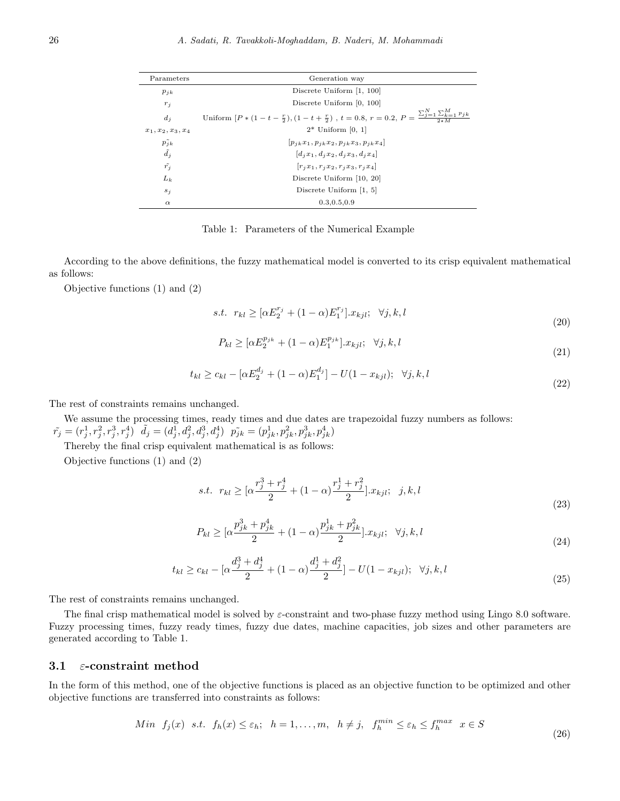| Parameters           | Generation way                                                                                                               |
|----------------------|------------------------------------------------------------------------------------------------------------------------------|
| $p_{ik}$             | Discrete Uniform $[1, 100]$                                                                                                  |
| $r_j$                | Discrete Uniform $[0, 100]$                                                                                                  |
| $d_i$                | Uniform $[P*(1-t-\frac{r}{2}),(1-t+\frac{r}{2})$ , $t=0.8,$ $r=0.2,$ $P=\frac{\sum_{j=1}^{N}\sum_{k=1}^{M}p_{jk}}{2\cdot11}$ |
| $x_1, x_2, x_3, x_4$ | $2^*$ Uniform [0, 1]                                                                                                         |
| $p_{jk}$             | $[p_{ik}x_1, p_{ik}x_2, p_{ik}x_3, p_{ik}x_4]$                                                                               |
| $\tilde{d}_j$        | $ d_i x_1, d_i x_2, d_i x_3, d_i x_4 $                                                                                       |
| $\tilde{r_j}$        | $[r_i x_1, r_i x_2, r_i x_3, r_i x_4]$                                                                                       |
| $L_k$                | Discrete Uniform [10, 20]                                                                                                    |
| $s_j$                | Discrete Uniform $[1, 5]$                                                                                                    |
| $\alpha$             | 0.3, 0.5, 0.9                                                                                                                |

Table 1: Parameters of the Numerical Example

According to the above definitions, the fuzzy mathematical model is converted to its crisp equivalent mathematical as follows:

Objective functions (1) and (2)

s.t. 
$$
r_{kl} \geq [\alpha E_2^{r_j} + (1 - \alpha)E_1^{r_j}].x_{kjl}; \quad \forall j, k, l
$$
 (20)

$$
P_{kl} \geq [\alpha E_2^{p_{jk}} + (1 - \alpha) E_1^{p_{jk}}] \cdot x_{kjl}; \quad \forall j, k, l
$$
\n(21)

$$
t_{kl} \ge c_{kl} - [\alpha E_2^{d_j} + (1 - \alpha) E_1^{d_j}] - U(1 - x_{kjl}); \quad \forall j, k, l
$$
\n(22)

The rest of constraints remains unchanged.

We assume the processing times, ready times and due dates are trapezoidal fuzzy numbers as follows:  $\tilde{r_j}=(r_j^1,r_j^2,r_j^3,r_j^4)\ \ \tilde{d_j}=(d_j^{\bar{1}},d_j^2,d_j^3,d_j^4)\ \ \tilde{p_{jk}}=(p_{jk}^1,p_{jk}^2,p_{jk}^3,p_{jk}^4)$ 

Thereby the final crisp equivalent mathematical is as follows:

Objective functions (1) and (2)

$$
s.t. \ r_{kl} \geq [\alpha \frac{r_j^3 + r_j^4}{2} + (1 - \alpha) \frac{r_j^1 + r_j^2}{2}] \cdot x_{kjl}; \ \ j, k, l \tag{23}
$$

$$
P_{kl} \geq \left[\alpha \frac{p_{jk}^3 + p_{jk}^4}{2} + (1 - \alpha) \frac{p_{jk}^1 + p_{jk}^2}{2}\right] x_{kjl}; \quad \forall j, k, l
$$
\n(24)

$$
t_{kl} \ge c_{kl} - \left[\alpha \frac{d_j^3 + d_j^4}{2} + (1 - \alpha) \frac{d_j^1 + d_j^2}{2}\right] - U(1 - x_{kjl}); \quad \forall j, k, l
$$
\n(25)

The rest of constraints remains unchanged.

The final crisp mathematical model is solved by *ε*-constraint and two-phase fuzzy method using Lingo 8.0 software. Fuzzy processing times, fuzzy ready times, fuzzy due dates, machine capacities, job sizes and other parameters are generated according to Table 1.

### **3.1** *ε***-constraint method**

In the form of this method, one of the objective functions is placed as an objective function to be optimized and other objective functions are transferred into constraints as follows:

$$
Min f_j(x) \quad s.t. \quad f_h(x) \le \varepsilon_h; \quad h = 1, \dots, m, \quad h \ne j, \quad f_h^{min} \le \varepsilon_h \le f_h^{max} \quad x \in S
$$
\n
$$
(26)
$$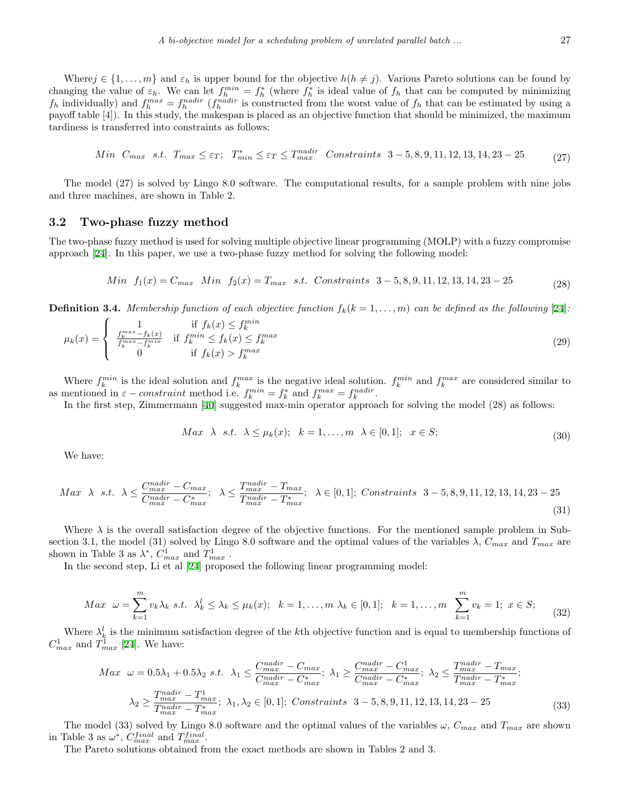Where  $j \in \{1, \ldots, m\}$  and  $\varepsilon_h$  is upper bound for the objective  $h(h \neq j)$ . Various Pareto solutions can be found by changing the value of  $\varepsilon_h$ . We can let  $f_h^{min} = f_h^*$  (where  $f_h^*$  is ideal value of  $f_h$  that can be computed by minimizing  $f_h$  individually) and  $f_h^{max} = f_h^{nadir}$  ( $f_h^{nadir}$  is constructed from the worst value of  $f_h$  that can be estimated by using a payoff table [4]). In this study, the makespan is placed as an objective function that should be minimized, the maximum tardiness is transferred into constraints as follows:

$$
Min\ C_{max}\ s.t.\ T_{max} \leq \varepsilon_T;\ T_{min}^* \leq \varepsilon_T \leq T_{max}^{nadir}\ Constrains\ 3-5,8,9,11,12,13,14,23-25 \tag{27}
$$

The model (27) is solved by Lingo 8.0 software. The computational results, for a sample problem with nine jobs and three machines, are shown in Table 2.

### **3.2 Two-phase fuzzy method**

The two-phase fuzzy method is used for solving multiple objective linear programming (MOLP) with a fuzzy compromise approach [[24\]](#page-18-13). In this paper, we use a two-phase fuzzy method for solving the following model:

$$
Min f_1(x) = C_{max} Min f_2(x) = T_{max} s.t. \text{ Constraints } 3-5, 8, 9, 11, 12, 13, 14, 23-25
$$
\n(28)

**Definition 3.4.** *Membership function of each objective function*  $f_k(k = 1, \ldots, m)$  *can be defined as the following* [\[24](#page-18-13)]*:* 

$$
\mu_k(x) = \begin{cases}\n1 & \text{if } f_k(x) \le f_k^{min} \\
\frac{f_k^{max} - f_k(x)}{f_k^{max} - f_k^{min}} & \text{if } f_k^{min} \le f_k(x) \le f_k^{max} \\
0 & \text{if } f_k(x) > f_k^{max}\n\end{cases}
$$
\n(29)

Where  $f_k^{min}$  is the ideal solution and  $f_k^{max}$  is the negative ideal solution.  $f_k^{min}$  and  $f_k^{max}$  are considered similar to as mentioned in  $\varepsilon$  *− constraint* method i.e.  $f_k^{min} = f_k^*$  and  $f_k^{max} = f_k^{nadir}$ .

In the first step, Zimmermann [\[40](#page-19-4)] suggested max-min operator approach for solving the model (28) as follows:

$$
Max \quad \lambda \quad s.t. \quad \lambda \le \mu_k(x); \quad k = 1, \dots, m \quad \lambda \in [0, 1]; \quad x \in S;
$$
\n
$$
(30)
$$

We have:

$$
Max \ \lambda \ s.t. \ \lambda \le \frac{C_{max}^{nadir} - C_{max}}{C_{max}^{nadir} - C_{max}^{*}}; \ \lambda \le \frac{T_{max}^{nadir} - T_{max}}{T_{max}^{nadir} - T_{max}^{*}}; \ \lambda \in [0,1]; \text{Constraints } 3-5,8,9,11,12,13,14,23-25
$$
\n(31)

Where *λ* is the overall satisfaction degree of the objective functions. For the mentioned sample problem in Subsection 3.1, the model (31) solved by Lingo 8.0 software and the optimal values of the variables  $\lambda$ ,  $C_{max}$  and  $T_{max}$  are shown in Table 3 as  $\lambda^*$ ,  $C_{max}^1$  and  $T_{max}^1$ .

In the second step, Li et al [[24](#page-18-13)] proposed the following linear programming model:

$$
Max \ \omega = \sum_{k=1}^{m} v_k \lambda_k \ s.t. \ \lambda_k^l \le \lambda_k \le \mu_k(x); \ \ k = 1, ..., m \ \lambda_k \in [0, 1]; \ \ k = 1, ..., m \ \sum_{k=1}^{m} v_k = 1; \ x \in S; \tag{32}
$$

Where  $\lambda_k^l$  is the minimum satisfaction degree of the *k*th objective function and is equal to membership functions of  $C_{max}^1$  and  $T_{max}^1$  [[24\]](#page-18-13). We have:

$$
Max \ \omega = 0.5\lambda_1 + 0.5\lambda_2 \ s.t. \ \lambda_1 \le \frac{C_{max}^{nadir} - C_{max}}{C_{max}^{nadir} - C_{max}^*}; \ \lambda_1 \ge \frac{C_{max}^{nadir} - C_{max}^1}{C_{max}^{nadir} - C_{max}^*}; \ \lambda_2 \le \frac{T_{max}^{nadir} - T_{max}}{T_{max}^{nadir} - T_{max}^*}; \ \lambda_3 \ge \frac{T_{max}^{nadir} - T_{max}^1}{T_{max}^{nadir} - T_{max}^*}; \ \lambda_1, \lambda_2 \in [0, 1]; \ \text{Constraints} \ 3 - 5, 8, 9, 11, 12, 13, 14, 23 - 25 \tag{33}
$$

The model (33) solved by Lingo 8.0 software and the optimal values of the variables  $\omega$ ,  $C_{max}$  and  $T_{max}$  are shown in Table 3 as  $\omega^*$ ,  $C_{max}^{final}$  and  $T_{max}^{final}$ .

The Pareto solutions obtained from the exact methods are shown in Tables 2 and 3.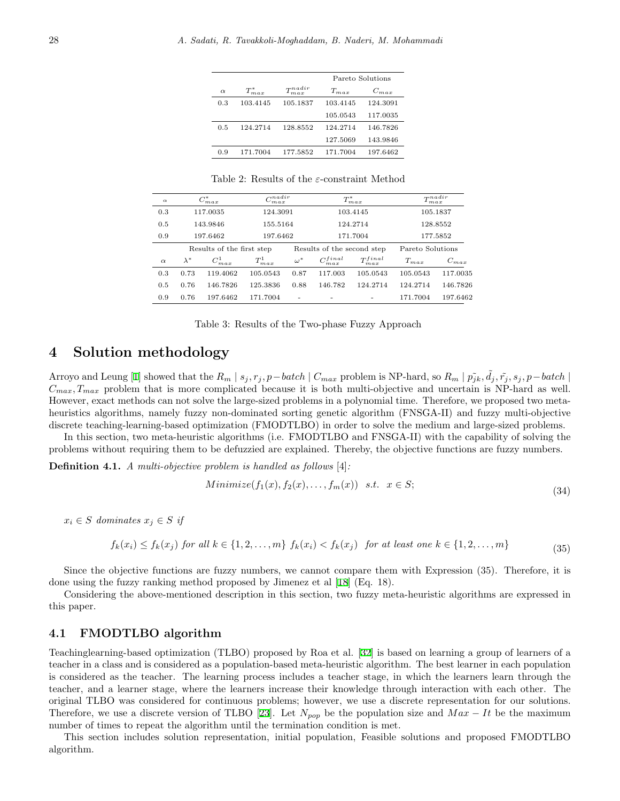|          |                |                               |           | Pareto Solutions |
|----------|----------------|-------------------------------|-----------|------------------|
| $\alpha$ | $T^*$<br>m.a.x | T <sub>n</sub> adir<br>m.a.r. | $T_{max}$ | $C_{max}$        |
| 0.3      | 103.4145       | 105.1837                      | 103.4145  | 124.3091         |
|          |                |                               | 105.0543  | 117.0035         |
| 0.5      | 124.2714       | 128.8552                      | 124.2714  | 146.7826         |
|          |                |                               | 127.5069  | 143.9846         |
| 0.9      | 171.7004       | 177.5852                      | 171.7004  | 197.6462         |
|          |                |                               |           |                  |

Table 2: Results of the *ε*-constraint Method

| $\alpha$ | $C_{\underline{m}ax}^*$ |                           | $\alpha$ nadir<br>m.a.r |                            | $T^\ast$          | max               | T <sub>rad</sub> ir<br>m.a.r. |           |  |
|----------|-------------------------|---------------------------|-------------------------|----------------------------|-------------------|-------------------|-------------------------------|-----------|--|
| 0.3      | 117.0035                |                           |                         | 124.3091                   |                   | 103.4145          |                               | 105.1837  |  |
| 0.5      | 143.9846                |                           | 155.5164                |                            |                   | 124.2714          | 128.8552                      |           |  |
| 0.9      | 197.6462                |                           | 197.6462                |                            | 171.7004          |                   | 177.5852                      |           |  |
|          |                         | Results of the first step |                         | Results of the second step |                   |                   | Pareto Solutions              |           |  |
| $\alpha$ | $\lambda^*$             | $C_{max}^1$               | $T_{max}^1$             | $\omega^*$                 | $C_{max}^{final}$ | $T^{final}_{max}$ | $T_{max}$                     | $C_{max}$ |  |
| 0.3      | 0.73                    | 119.4062                  | 105.0543                | 0.87                       | 117.003           | 105.0543          | 105.0543                      | 117.0035  |  |
| 0.5      | 0.76                    | 146.7826                  | 125.3836                | 0.88                       | 146.782           | 124.2714          | 124.2714                      | 146.7826  |  |
| 0.9      | 0.76                    | 197.6462                  | 171.7004                | $\overline{\phantom{a}}$   |                   |                   | 171.7004                      | 197.6462  |  |

Table 3: Results of the Two-phase Fuzzy Approach

# **4 Solution methodology**

Arroyo and Leung [[1\]](#page-16-3) showed that the  $R_m | s_j, r_j, p-\text{batch} | C_{max}$  problem is NP-hard, so  $R_m | \tilde{p_{jk}}, \tilde{d_j}, \tilde{r_j}, s_j, p-\text{batch} |$  $C_{max}$ ,  $T_{max}$  problem that is more complicated because it is both multi-objective and uncertain is NP-hard as well. However, exact methods can not solve the large-sized problems in a polynomial time. Therefore, we proposed two metaheuristics algorithms, namely fuzzy non-dominated sorting genetic algorithm (FNSGA-II) and fuzzy multi-objective discrete teaching-learning-based optimization (FMODTLBO) in order to solve the medium and large-sized problems.

In this section, two meta-heuristic algorithms (i.e. FMODTLBO and FNSGA-II) with the capability of solving the problems without requiring them to be defuzzied are explained. Thereby, the objective functions are fuzzy numbers.

**Definition 4.1.** *A multi-objective problem is handled as follows* [4]*:*

$$
Minimize(f_1(x), f_2(x), \dots, f_m(x)) \quad s.t. \quad x \in S;
$$
\n
$$
(34)
$$

 $x_i \in S$  *dominates*  $x_j \in S$  *if* 

$$
f_k(x_i) \le f_k(x_j) \text{ for all } k \in \{1, 2, \dots, m\} \text{ } f_k(x_i) < f_k(x_j) \text{ for at least one } k \in \{1, 2, \dots, m\} \tag{35}
$$

Since the objective functions are fuzzy numbers, we cannot compare them with Expression (35). Therefore, it is done using the fuzzy ranking method proposed by Jimenez et al [[18\]](#page-18-0) (Eq. 18).

Considering the above-mentioned description in this section, two fuzzy meta-heuristic algorithms are expressed in this paper.

# **4.1 FMODTLBO algorithm**

Teachinglearning-based optimization (TLBO) proposed by Roa et al. [[32](#page-18-14)] is based on learning a group of learners of a teacher in a class and is considered as a population-based meta-heuristic algorithm. The best learner in each population is considered as the teacher. The learning process includes a teacher stage, in which the learners learn through the teacher, and a learner stage, where the learners increase their knowledge through interaction with each other. The original TLBO was considered for continuous problems; however, we use a discrete representation for our solutions. Therefore, we use a discrete version of TLBO [\[23](#page-18-15)]. Let  $N_{pop}$  be the population size and  $Max - It$  be the maximum number of times to repeat the algorithm until the termination condition is met.

This section includes solution representation, initial population, Feasible solutions and proposed FMODTLBO algorithm.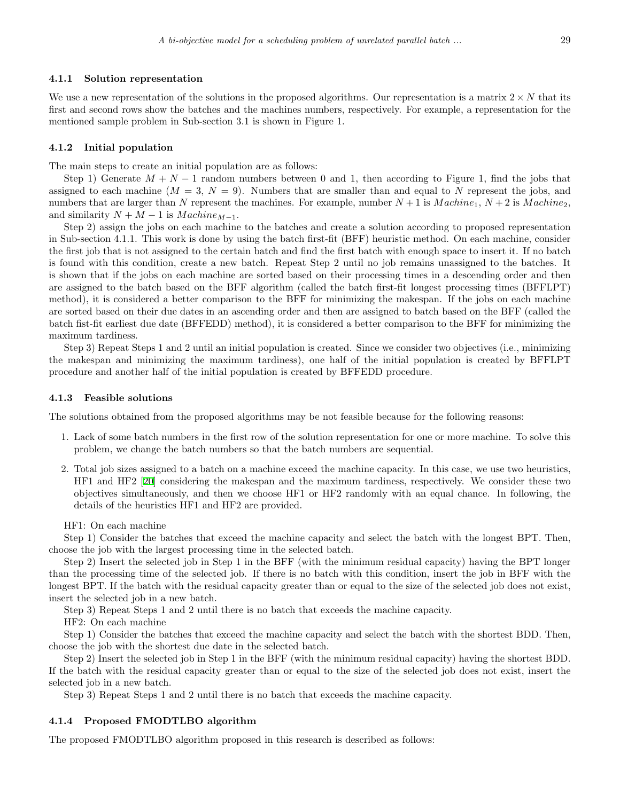#### **4.1.1 Solution representation**

We use a new representation of the solutions in the proposed algorithms. Our representation is a matrix  $2 \times N$  that its first and second rows show the batches and the machines numbers, respectively. For example, a representation for the mentioned sample problem in Sub-section 3.1 is shown in Figure 1.

#### **4.1.2 Initial population**

The main steps to create an initial population are as follows:

Step 1) Generate  $M + N - 1$  random numbers between 0 and 1, then according to Figure 1, find the jobs that assigned to each machine  $(M = 3, N = 9)$ . Numbers that are smaller than and equal to N represent the jobs, and numbers that are larger than *N* represent the machines. For example, number  $N + 1$  is *Machine*<sub>1</sub>,  $N + 2$  is *Machine*<sub>2</sub>, and similarity  $N + M - 1$  is  $Machine_{M-1}$ .

Step 2) assign the jobs on each machine to the batches and create a solution according to proposed representation in Sub-section 4.1.1. This work is done by using the batch first-fit (BFF) heuristic method. On each machine, consider the first job that is not assigned to the certain batch and find the first batch with enough space to insert it. If no batch is found with this condition, create a new batch. Repeat Step 2 until no job remains unassigned to the batches. It is shown that if the jobs on each machine are sorted based on their processing times in a descending order and then are assigned to the batch based on the BFF algorithm (called the batch first-fit longest processing times (BFFLPT) method), it is considered a better comparison to the BFF for minimizing the makespan. If the jobs on each machine are sorted based on their due dates in an ascending order and then are assigned to batch based on the BFF (called the batch fist-fit earliest due date (BFFEDD) method), it is considered a better comparison to the BFF for minimizing the maximum tardiness.

Step 3) Repeat Steps 1 and 2 until an initial population is created. Since we consider two objectives (i.e., minimizing the makespan and minimizing the maximum tardiness), one half of the initial population is created by BFFLPT procedure and another half of the initial population is created by BFFEDD procedure.

### **4.1.3 Feasible solutions**

The solutions obtained from the proposed algorithms may be not feasible because for the following reasons:

- 1*.* Lack of some batch numbers in the first row of the solution representation for one or more machine. To solve this problem, we change the batch numbers so that the batch numbers are sequential.
- 2*.* Total job sizes assigned to a batch on a machine exceed the machine capacity. In this case, we use two heuristics, HF1 and HF2 [[20\]](#page-18-8) considering the makespan and the maximum tardiness, respectively. We consider these two objectives simultaneously, and then we choose HF1 or HF2 randomly with an equal chance. In following, the details of the heuristics HF1 and HF2 are provided.

HF1: On each machine

Step 1) Consider the batches that exceed the machine capacity and select the batch with the longest BPT. Then, choose the job with the largest processing time in the selected batch.

Step 2) Insert the selected job in Step 1 in the BFF (with the minimum residual capacity) having the BPT longer than the processing time of the selected job. If there is no batch with this condition, insert the job in BFF with the longest BPT. If the batch with the residual capacity greater than or equal to the size of the selected job does not exist, insert the selected job in a new batch.

Step 3) Repeat Steps 1 and 2 until there is no batch that exceeds the machine capacity.

HF2: On each machine

Step 1) Consider the batches that exceed the machine capacity and select the batch with the shortest BDD. Then, choose the job with the shortest due date in the selected batch.

Step 2) Insert the selected job in Step 1 in the BFF (with the minimum residual capacity) having the shortest BDD. If the batch with the residual capacity greater than or equal to the size of the selected job does not exist, insert the selected job in a new batch.

Step 3) Repeat Steps 1 and 2 until there is no batch that exceeds the machine capacity.

#### **4.1.4 Proposed FMODTLBO algorithm**

The proposed FMODTLBO algorithm proposed in this research is described as follows: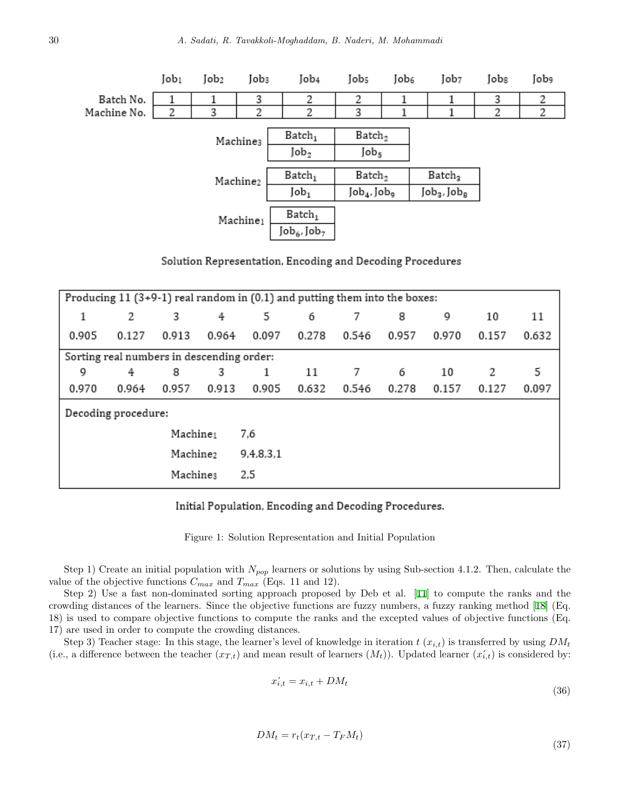

Solution Representation, Encoding and Decoding Procedures

|                      | Producing $11$ (3+9-1) real random in (0,1) and putting them into the boxes: |                      |           |       |       |       |       |       |       |       |  |  |
|----------------------|------------------------------------------------------------------------------|----------------------|-----------|-------|-------|-------|-------|-------|-------|-------|--|--|
| 1                    | 2                                                                            | 3                    | 4         | 5     | 6     | 7     | 8     | 9     | 10    | 11    |  |  |
| 0.905                | 0.127                                                                        | 0.913                | 0.964     | 0.097 | 0.278 | 0.546 | 0.957 | 0.970 | 0.157 | 0.632 |  |  |
|                      | Sorting real numbers in descending order:                                    |                      |           |       |       |       |       |       |       |       |  |  |
| 9                    | 4                                                                            | 8                    | 3         | 1     | 11    | 7     | 6     | 10    | 2     | 5     |  |  |
| 0.970                | 0.964                                                                        | 0.957                | 0.913     | 0.905 | 0.632 | 0.546 | 0.278 | 0.157 | 0.127 | 0.097 |  |  |
|                      | Decoding procedure:                                                          |                      |           |       |       |       |       |       |       |       |  |  |
|                      |                                                                              | Machine <sub>1</sub> |           | 7,6   |       |       |       |       |       |       |  |  |
| Machine <sub>2</sub> |                                                                              |                      | 9,4,8,3,1 |       |       |       |       |       |       |       |  |  |
| 2,5<br>Machines      |                                                                              |                      |           |       |       |       |       |       |       |       |  |  |

# Initial Population, Encoding and Decoding Procedures.

Figure 1: Solution Representation and Initial Population

Step 1) Create an initial population with *Npop* learners or solutions by using Sub-section 4.1.2. Then, calculate the value of the objective functions  $C_{max}$  and  $T_{max}$  (Eqs. 11 and 12).

Step 2) Use a fast non-dominated sorting approach proposed by Deb et al. [[11\]](#page-17-6) to compute the ranks and the crowding distances of the learners. Since the objective functions are fuzzy numbers, a fuzzy ranking method [[18\]](#page-18-0) (Eq. 18) is used to compare objective functions to compute the ranks and the excepted values of objective functions (Eq. 17) are used in order to compute the crowding distances.

Step 3) Teacher stage: In this stage, the learner's level of knowledge in iteration  $t(x_{i,t})$  is transferred by using  $DM_t$ (i.e., a difference between the teacher  $(x_{T,t})$  and mean result of learners  $(M_t)$ ). Updated learner  $(x'_{i,t})$  is considered by:

$$
x'_{i,t} = x_{i,t} + DM_t \tag{36}
$$

$$
(\mathbf{v}\mathbf{v})
$$

$$
DM_t = r_t(x_{T,t} - T_F M_t) \tag{37}
$$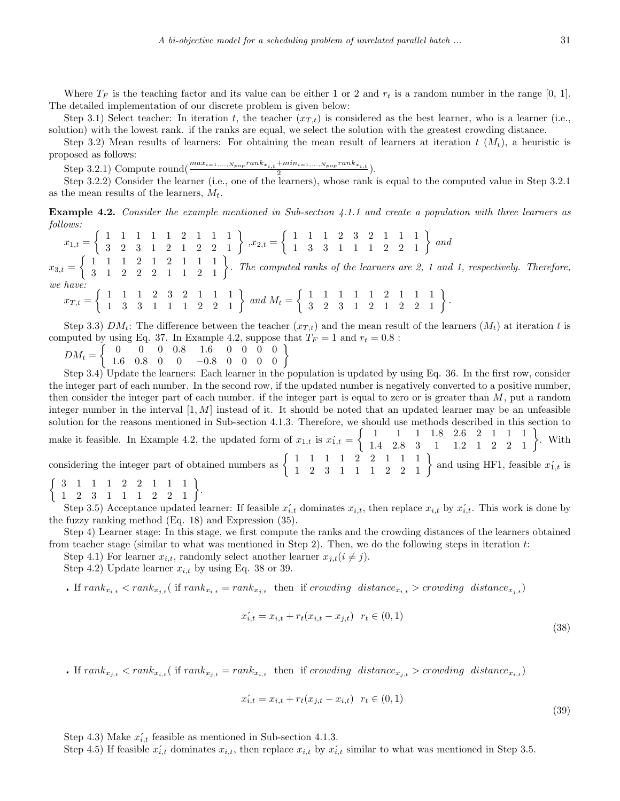Where  $T_F$  is the teaching factor and its value can be either 1 or 2 and  $r_t$  is a random number in the range [0, 1]. The detailed implementation of our discrete problem is given below:

Step 3.1) Select teacher: In iteration *t*, the teacher  $(x_{T,t})$  is considered as the best learner, who is a learner (i.e., solution) with the lowest rank. if the ranks are equal, we select the solution with the greatest crowding distance.

Step 3.2) Mean results of learners: For obtaining the mean result of learners at iteration  $t$  ( $M_t$ ), a heuristic is proposed as follows:

Step 3.2.1) Compute round( $\frac{max_{i=1,...,N_{pop}} rank_{x_{i,t}} + min_{i=1,...,N_{pop}} rank_{x_{i,t}}}{2}$ ).

Step 3.2.2) Consider the learner (i.e., one of the learners), whose rank is equal to the computed value in Step 3.2.1 as the mean results of the learners, *Mt*.

**Example 4.2.** *Consider the example mentioned in Sub-section 4.1.1 and create a population with three learners as follows:*

 $x_{1,t} =$  $\left\{\begin{array}{cccccc} 1 & 1 & 1 & 1 & 1 & 2 & 1 & 1 & 1 \\ 3 & 2 & 3 & 1 & 2 & 1 & 2 & 2 & 1 \end{array}\right\} \; , x_{2,t}=$  $\left\{\n\begin{array}{cccccc}\n1 & 1 & 1 & 2 & 3 & 2 & 1 & 1 & 1 \\
1 & 3 & 3 & 1 & 1 & 1 & 2 & 2 & 1\n\end{array}\n\right\}\nand$  $x_{3,t} =$  $\left\{\n\begin{array}{ccc}\n1 & 1 & 1 & 2 & 1 & 2 & 1 & 1 \\
3 & 1 & 2 & 2 & 2 & 1 & 1 & 2\n\end{array}\n\right\}$ . The computed ranks of the learners are 2, 1 and 1, respectively. Therefore, *we have:*  $x_{T,t} =$  $\left\{\n\begin{array}{ccccccc}\n1 & 1 & 1 & 2 & 3 & 2 & 1 & 1 & 1 \\
1 & 3 & 3 & 1 & 1 & 1 & 2 & 2 & 1\n\end{array}\n\right\}\nand M_t =$  $\left\{ \begin{array}{cccccc} 1 & 1 & 1 & 1 & 1 & 2 & 1 & 1 & 1 \\ 3 & 2 & 3 & 1 & 2 & 1 & 2 & 2 & 1 \end{array} \right\}.$ 

Step 3.3)  $DM_t$ : The difference between the teacher  $(x_{T,t})$  and the mean result of the learners  $(M_t)$  at iteration *t* is computed by using Eq. 37. In Example 4.2, suppose that  $T_F = 1$  and  $r_t = 0.8$ :

 $DM_t =$  $\left\{\n\begin{array}{ccccccc}\n0 & 0 & 0 & 0.8 & 1.6 & 0 & 0 & 0 & 0 \\
1.6 & 0.8 & 0 & 0 & -0.8 & 0 & 0 & 0 & 0 \\
0.8 & 0 & 0 & 0 & 0 & 0 & 0 & 0\n\end{array}\n\right\}$ 

Step 3.4) Update the learners: Each learner in the population is updated by using Eq. 36. In the first row, consider the integer part of each number. In the second row, if the updated number is negatively converted to a positive number, then consider the integer part of each number. if the integer part is equal to zero or is greater than *M*, put a random integer number in the interval [1*, M*] instead of it. It should be noted that an updated learner may be an unfeasible solution for the reasons mentioned in Sub-section 4.1.3. Therefore, we should use methods described in this section to make it feasible. In Example 4.2, the updated form of  $x_{1,t}$  is  $x'_{1,t}$  $\left\{\n \begin{array}{ccccccc}\n 1 & 1 & 1 & 1.8 & 2.6 & 2 & 1 & 1 & 1 \\
 1.4 & 2.8 & 3 & 1 & 1.2 & 1 & 2 & 2 & 1\n \end{array}\n\right\}$ . With considering the integer part of obtained numbers as  $\left\{\begin{array}{rrrrr} 1 & 1 & 1 & 1 & 2 & 2 & 1 & 1 & 1 \\ 1 & 2 & 3 & 1 & 1 & 1 & 2 & 2 & 1 \end{array}\right\}$  and using HF1, feasible  $x'_{1,t}$  is  $\left\{\begin{array}{cccccc}3 & 1 & 1 & 1 & 2 & 2 & 1 & 1 & 1 \\ 1 & 2 & 3 & 1 & 1 & 1 & 2 & 2 & 1 \end{array}\right\}.$ 

Step 3.5) Acceptance updated learner: If feasible  $x'_{i,t}$  dominates  $x_{i,t}$ , then replace  $x_{i,t}$  by  $x'_{i,t}$ . This work is done by the fuzzy ranking method (Eq. 18) and Expression (35).

Step 4) Learner stage: In this stage, we first compute the ranks and the crowding distances of the learners obtained from teacher stage (similar to what was mentioned in Step 2). Then, we do the following steps in iteration *t*:

Step 4.1) For learner  $x_{i,t}$ , randomly select another learner  $x_{j,t}$  ( $i \neq j$ ).

Step 4.2) Update learner  $x_{i,t}$  by using Eq. 38 or 39.

**.** If  $rank_{x_{i,t}} \langle rank_{x_{i,t}}($  if  $rank_{x_{i,t}} = rank_{x_{i,t}}$  then if crowding distance<sub> $x_{i,t}$ </sub> > crowding distance<sub> $x_{i,t}$ </sub>)

$$
x'_{i,t} = x_{i,t} + r_t(x_{i,t} - x_{j,t}) \ \ r_t \in (0,1)
$$

**.** If  $rank_{x_{i,t}} < rank_{x_{i,t}}$  (if  $rank_{x_{i,t}} = rank_{x_{i,t}}$  then if crowding distance<sub> $x_{i,t} >$  crowding distance<sub> $x_{i,t}$ </sub>)</sub>

$$
x'_{i,t} = x_{i,t} + r_t(x_{j,t} - x_{i,t}) \quad r_t \in (0,1)
$$

Step 4.3) Make  $x'_{i,t}$  feasible as mentioned in Sub-section 4.1.3.

Step 4.5) If feasible  $x'_{i,t}$  dominates  $x_{i,t}$ , then replace  $x_{i,t}$  by  $x'_{i,t}$  similar to what was mentioned in Step 3.5.

(38)

(39)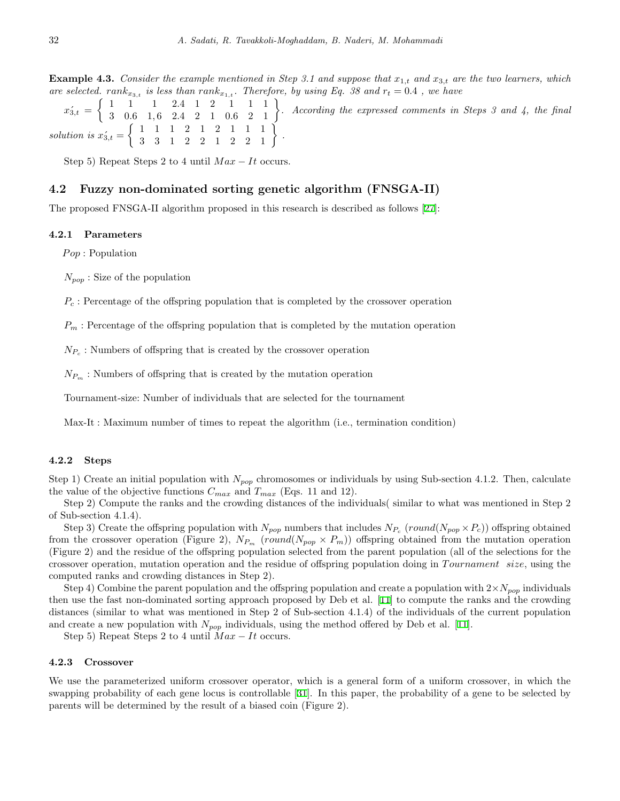**Example 4.3.** Consider the example mentioned in Step 3.1 and suppose that  $x_{1,t}$  and  $x_{3,t}$  are the two learners, which *are selected.*  $rank_{x_{3,t}}$  *is less than*  $rank_{x_{1,t}}$ . Therefore, by using Eq. 38 and  $r_t = 0.4$ , we have

 $x'_{3,t} =$  $\left\{\n\begin{array}{ccc|ccc}\n1 & 1 & 1 & 2.4 & 1 & 2 & 1 & 1 \\
3 & 0.6 & 1.6 & 2.4 & 2 & 1 & 0.6 & 2 & 1\n\end{array}\n\right\}.$  According the expressed comments in Steps 3 and 4, the final *solution is*  $x'_{3,t}$  =  $\left\{ \begin{array}{cccccc} 1 & 1 & 1 & 2 & 1 & 2 & 1 & 1 & 1 \\ 3 & 3 & 1 & 2 & 2 & 1 & 2 & 2 & 1 \end{array} \right\}$ .

Step 5) Repeat Steps 2 to 4 until  $Max - It$  occurs.

# **4.2 Fuzzy non-dominated sorting genetic algorithm (FNSGA-II)**

The proposed FNSGA-II algorithm proposed in this research is described as follows [[27](#page-18-2)]:

#### **4.2.1 Parameters**

*P op* : Population

*Npop* : Size of the population

*P<sup>c</sup>* : Percentage of the offspring population that is completed by the crossover operation

*P<sup>m</sup>* : Percentage of the offspring population that is completed by the mutation operation

 $N_{P_c}$ : Numbers of offspring that is created by the crossover operation

 $N_{P_m}$ : Numbers of offspring that is created by the mutation operation

Tournament-size: Number of individuals that are selected for the tournament

Max-It : Maximum number of times to repeat the algorithm (i.e., termination condition)

#### **4.2.2 Steps**

Step 1) Create an initial population with *Npop* chromosomes or individuals by using Sub-section 4.1.2. Then, calculate the value of the objective functions  $C_{max}$  and  $T_{max}$  (Eqs. 11 and 12).

Step 2) Compute the ranks and the crowding distances of the individuals( similar to what was mentioned in Step 2 of Sub-section 4.1.4).

Step 3) Create the offspring population with  $N_{pop}$  numbers that includes  $N_{P_c}$  (*round*( $N_{pop} \times P_c$ )) offspring obtained from the crossover operation (Figure 2),  $N_{P_m}$  (*round*( $N_{pop} \times P_m$ )) offspring obtained from the mutation operation (Figure 2) and the residue of the offspring population selected from the parent population (all of the selections for the crossover operation, mutation operation and the residue of offspring population doing in *T ournament size*, using the computed ranks and crowding distances in Step 2).

Step 4) Combine the parent population and the offspring population and create a population with  $2 \times N_{pop}$  individuals then use the fast non-dominated sorting approach proposed by Deb et al. [[11\]](#page-17-6) to compute the ranks and the crowding distances (similar to what was mentioned in Step 2 of Sub-section 4.1.4) of the individuals of the current population and create a new population with  $N_{pop}$  individuals, using the method offered by Deb et al. [[11\]](#page-17-6).

Step 5) Repeat Steps 2 to 4 until  $Max - It$  occurs.

#### **4.2.3 Crossover**

We use the parameterized uniform crossover operator, which is a general form of a uniform crossover, in which the swapping probability of each gene locus is controllable [\[31](#page-18-16)]. In this paper, the probability of a gene to be selected by parents will be determined by the result of a biased coin (Figure 2).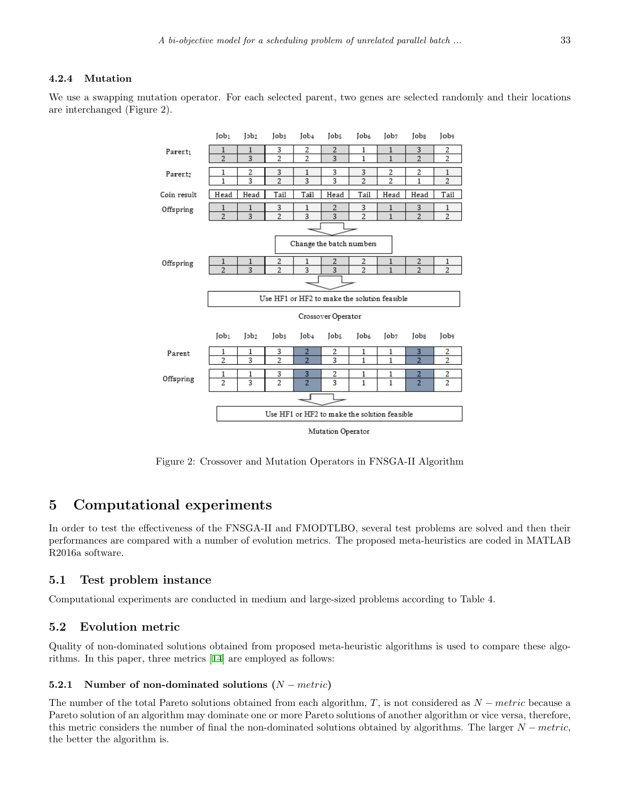# **4.2.4 Mutation**

We use a swapping mutation operator. For each selected parent, two genes are selected randomly and their locations are interchanged (Figure 2).



Mutation Operator

Figure 2: Crossover and Mutation Operators in FNSGA-II Algorithm

# **5 Computational experiments**

In order to test the effectiveness of the FNSGA-II and FMODTLBO, several test problems are solved and then their performances are compared with a number of evolution metrics. The proposed meta-heuristics are coded in MATLAB R2016a software.

# **5.1 Test problem instance**

Computational experiments are conducted in medium and large-sized problems according to Table 4.

# **5.2 Evolution metric**

Quality of non-dominated solutions obtained from proposed meta-heuristic algorithms is used to compare these algorithms. In this paper, three metrics [[14](#page-17-7)] are employed as follows:

# **5.2.1 Number of non-dominated solutions (***N − metric***)**

The number of the total Pareto solutions obtained from each algorithm, *T*, is not considered as *N − metric* because a Pareto solution of an algorithm may dominate one or more Pareto solutions of another algorithm or vice versa, therefore, this metric considers the number of final the non-dominated solutions obtained by algorithms. The larger *N − metric*, the better the algorithm is.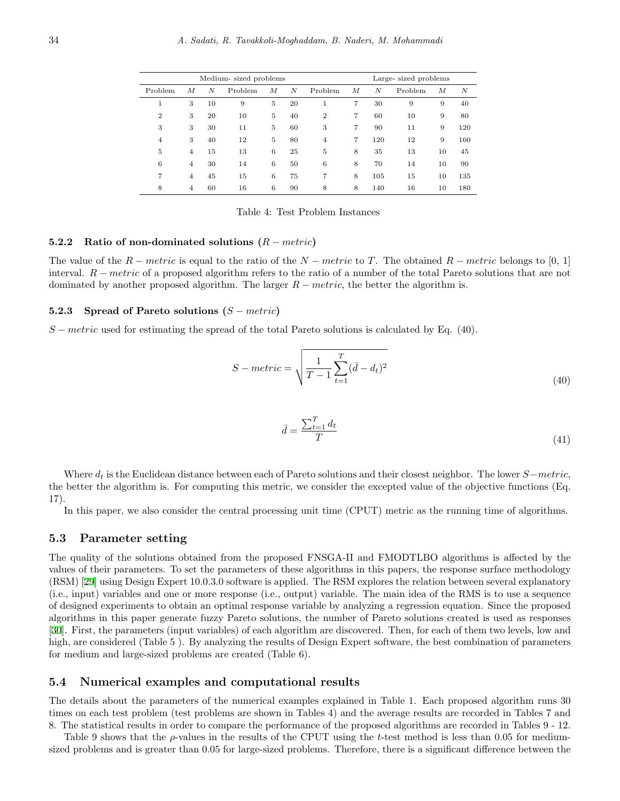|                |                |    | Medium-sized problems |   | Large-sized problems |                |   |     |         |    |     |
|----------------|----------------|----|-----------------------|---|----------------------|----------------|---|-----|---------|----|-----|
| Problem        | М              | N  | Problem               | М | N                    | Problem        | М | N   | Problem | М  | N   |
| 1              | 3              | 10 | 9                     | 5 | 20                   | 1              | 7 | 30  | 9       | 9  | 40  |
| $\overline{2}$ | 3              | 20 | 10                    | 5 | 40                   | $\overline{2}$ | 7 | 60  | 10      | 9  | 80  |
| 3              | 3              | 30 | 11                    | 5 | 60                   | 3              | 7 | 90  | 11      | 9  | 120 |
| $\overline{4}$ | 3              | 40 | 12                    | 5 | 80                   | $\overline{4}$ | 7 | 120 | 12      | 9  | 160 |
| 5              | $\overline{4}$ | 15 | 13                    | 6 | 25                   | 5              | 8 | 35  | 13      | 10 | 45  |
| 6              | $\overline{4}$ | 30 | 14                    | 6 | 50                   | 6              | 8 | 70  | 14      | 10 | 90  |
| 7              | $\overline{4}$ | 45 | 15                    | 6 | 75                   | 7              | 8 | 105 | 15      | 10 | 135 |
| 8              | 4              | 60 | 16                    | 6 | 90                   | 8              | 8 | 140 | 16      | 10 | 180 |
|                |                |    |                       |   |                      |                |   |     |         |    |     |

Table 4: Test Problem Instances

#### **5.2.2 Ratio of non-dominated solutions (***R − metric***)**

The value of the *R − metric* is equal to the ratio of the *N − metric* to *T*. The obtained *R − metric* belongs to [0, 1] interval. *R − metric* of a proposed algorithm refers to the ratio of a number of the total Pareto solutions that are not dominated by another proposed algorithm. The larger *R − metric*, the better the algorithm is.

### **5.2.3 Spread of Pareto solutions (***S − metric***)**

*S* − *metric* used for estimating the spread of the total Pareto solutions is calculated by Eq. (40).

$$
S-metric = \sqrt{\frac{1}{T-1} \sum_{t=1}^{T} (\bar{d} - d_t)^2}
$$
\n(40)

$$
\bar{d} = \frac{\sum_{t=1}^{T} d_t}{T} \tag{41}
$$

Where *d<sup>t</sup>* is the Euclidean distance between each of Pareto solutions and their closest neighbor. The lower *S−metric*, the better the algorithm is. For computing this metric, we consider the excepted value of the objective functions (Eq. 17).

In this paper, we also consider the central processing unit time (CPUT) metric as the running time of algorithms.

### **5.3 Parameter setting**

The quality of the solutions obtained from the proposed FNSGA-II and FMODTLBO algorithms is affected by the values of their parameters. To set the parameters of these algorithms in this papers, the response surface methodology (RSM) [\[29](#page-18-17)] using Design Expert 10.0.3.0 software is applied. The RSM explores the relation between several explanatory (i.e., input) variables and one or more response (i.e., output) variable. The main idea of the RMS is to use a sequence of designed experiments to obtain an optimal response variable by analyzing a regression equation. Since the proposed algorithms in this paper generate fuzzy Pareto solutions, the number of Pareto solutions created is used as responses [[30\]](#page-18-18). First, the parameters (input variables) of each algorithm are discovered. Then, for each of them two levels, low and high, are considered (Table 5 ). By analyzing the results of Design Expert software, the best combination of parameters for medium and large-sized problems are created (Table 6).

### **5.4 Numerical examples and computational results**

The details about the parameters of the numerical examples explained in Table 1. Each proposed algorithm runs 30 times on each test problem (test problems are shown in Tables 4) and the average results are recorded in Tables 7 and 8. The statistical results in order to compare the performance of the proposed algorithms are recorded in Tables 9 - 12.

Table 9 shows that the *ρ*-values in the results of the CPUT using the *t*-test method is less than 0.05 for mediumsized problems and is greater than 0.05 for large-sized problems. Therefore, there is a significant difference between the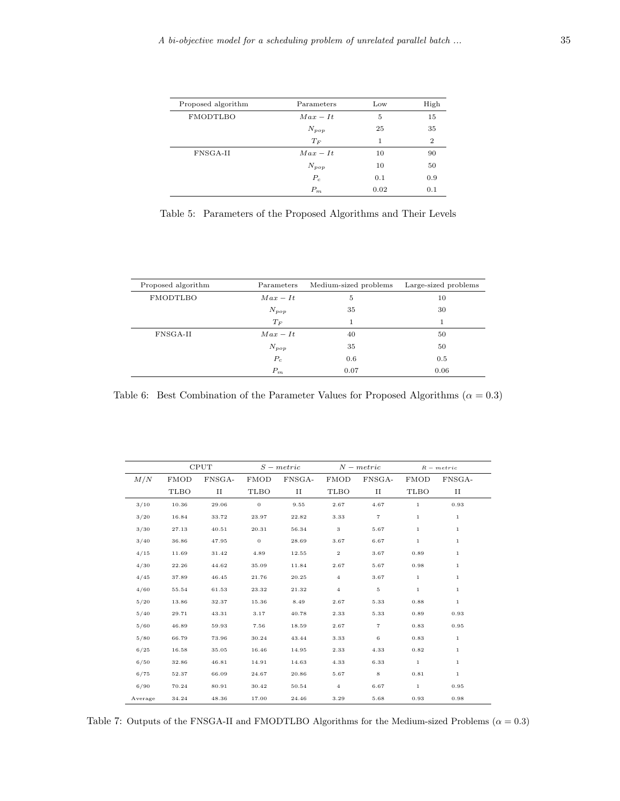| Proposed algorithm | Parameters | Low  | High           |
|--------------------|------------|------|----------------|
| FMODTLBO           | $Max - It$ | 5    | 15             |
|                    | $N_{pop}$  | 25   | 35             |
|                    | $T_F$      | 1    | $\overline{2}$ |
| FNSGA-II           | $Max - It$ | 10   | 90             |
|                    | $N_{pop}$  | 10   | 50             |
|                    | $P_c$      | 0.1  | 0.9            |
|                    | $P_m$      | 0.02 | 0.1            |

Table 5: Parameters of the Proposed Algorithms and Their Levels

| Proposed algorithm | Parameters | Medium-sized problems | Large-sized problems |
|--------------------|------------|-----------------------|----------------------|
| FMODTLBO           | $Max - It$ | 5                     | 10                   |
|                    | $N_{pop}$  | 35                    | 30                   |
|                    | $T_F$      | 1                     |                      |
| FNSGA-II           | $Max - It$ |                       | 50                   |
|                    | $N_{pop}$  | 35                    | 50                   |
|                    | $P_c$      | 0.6                   | 0.5                  |
|                    | $P_m$      | 0.07                  | 0.06                 |

Table 6: Best Combination of the Parameter Values for Proposed Algorithms ( $\alpha = 0.3$ )

|         |             | <b>CPUT</b> |             | $S - metric$ |                  | $N - metric$   |              | $R - metric$ |  |
|---------|-------------|-------------|-------------|--------------|------------------|----------------|--------------|--------------|--|
| M/N     | <b>FMOD</b> | FNSGA-      | <b>FMOD</b> | FNSGA-       | <b>FMOD</b>      | FNSGA-         | <b>FMOD</b>  | FNSGA-       |  |
|         | <b>TLBO</b> | П           | TLBO        | П            | TLBO             | П              | <b>TLBO</b>  | П            |  |
| 3/10    | 10.36       | 29.06       | $\mathbf 0$ | 9.55         | 2.67             | 4.67           | $1\,$        | 0.93         |  |
| 3/20    | 16.84       | 33.72       | 23.97       | 22.82        | 3.33             | $\overline{7}$ | $\mathbf{1}$ | $\mathbf{1}$ |  |
| 3/30    | 27.13       | 40.51       | 20.31       | 56.34        | $_{\rm 3}$       | 5.67           | $\,1$        | $\mathbf{1}$ |  |
| 3/40    | 36.86       | 47.95       | $\,0\,$     | 28.69        | 3.67             | 6.67           | $\,1$        | $\mathbf{1}$ |  |
| 4/15    | 11.69       | 31.42       | 4.89        | 12.55        | $\boldsymbol{2}$ | 3.67           | 0.89         | $\mathbf{1}$ |  |
| 4/30    | 22.26       | 44.62       | 35.09       | 11.84        | 2.67             | 5.67           | 0.98         | $\mathbf{1}$ |  |
| 4/45    | 37.89       | 46.45       | 21.76       | 20.25        | $\overline{4}$   | 3.67           | $1\,$        | $\mathbf{1}$ |  |
| 4/60    | 55.54       | 61.53       | 23.32       | 21.32        | $\overline{4}$   | 5              | $\mathbf{1}$ | $\mathbf{1}$ |  |
| 5/20    | 13.86       | 32.37       | 15.36       | 8.49         | 2.67             | 5.33           | 0.88         | $\mathbf{1}$ |  |
| 5/40    | 29.71       | 43.31       | 3.17        | 40.78        | 2.33             | 5.33           | 0.89         | 0.93         |  |
| 5/60    | 46.89       | 59.93       | 7.56        | 18.59        | 2.67             | 7              | 0.83         | 0.95         |  |
| 5/80    | 66.79       | 73.96       | 30.24       | 43.44        | 3.33             | 6              | 0.83         | $\mathbf{1}$ |  |
| 6/25    | 16.58       | 35.05       | 16.46       | 14.95        | 2.33             | 4.33           | 0.82         | $\mathbf{1}$ |  |
| 6/50    | 32.86       | 46.81       | 14.91       | 14.63        | 4.33             | 6.33           | $1\,$        | $\mathbf{1}$ |  |
| 6/75    | 52.37       | 66.09       | 24.67       | 20.86        | 5.67             | 8              | 0.81         | $\mathbf{1}$ |  |
| 6/90    | 70.24       | 80.91       | 30.42       | 50.54        | $\overline{4}$   | 6.67           | $1\,$        | 0.95         |  |
| Average | 34.24       | 48.36       | 17.00       | 24.46        | 3.29             | 5.68           | 0.93         | 0.98         |  |

Table 7: Outputs of the FNSGA-II and FMODTLBO Algorithms for the Medium-sized Problems  $(\alpha = 0.3)$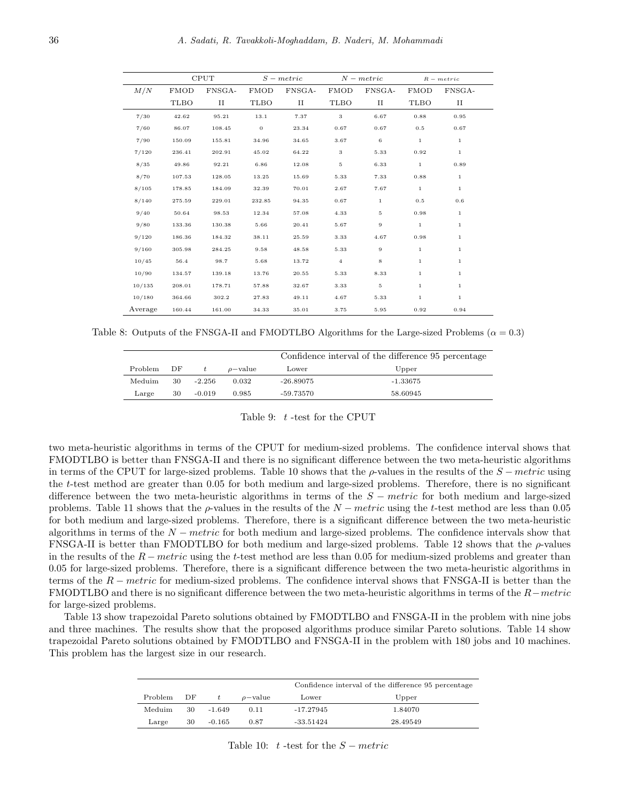|         | <b>CPUT</b> |        |             | $S - metric$ |                | $N$ – metric |              | $R - metric$ |
|---------|-------------|--------|-------------|--------------|----------------|--------------|--------------|--------------|
| M/N     | <b>FMOD</b> | FNSGA- | <b>FMOD</b> | FNSGA-       | <b>FMOD</b>    | FNSGA-       | <b>FMOD</b>  | FNSGA-       |
|         | TLBO        | П      | TLBO        | П            | TLBO           | П            | TLBO         | П            |
| 7/30    | 42.62       | 95.21  | 13.1        | 7.37         | $\,$ 3         | 6.67         | 0.88         | 0.95         |
| 7/60    | 86.07       | 108.45 | $\bf{0}$    | 23.34        | 0.67           | 0.67         | 0.5          | 0.67         |
| 7/90    | 150.09      | 155.81 | 34.96       | 34.65        | 3.67           | 6            | $\mathbf{1}$ | $\mathbf{1}$ |
| 7/120   | 236.41      | 202.91 | 45.02       | 64.22        | 3              | 5.33         | 0.92         | $\mathbf{1}$ |
| 8/35    | 49.86       | 92.21  | 6.86        | 12.08        | $\,$ 5 $\,$    | 6.33         | $\mathbf{1}$ | 0.89         |
| 8/70    | 107.53      | 128.05 | 13.25       | 15.69        | 5.33           | 7.33         | 0.88         | $\mathbf{1}$ |
| 8/105   | 178.85      | 184.09 | 32.39       | 70.01        | 2.67           | 7.67         | $\mathbf{1}$ | $\mathbf{1}$ |
| 8/140   | 275.59      | 229.01 | 232.85      | 94.35        | 0.67           | $\mathbf 1$  | 0.5          | 0.6          |
| 9/40    | 50.64       | 98.53  | 12.34       | 57.08        | 4.33           | 5            | 0.98         | $\mathbf{1}$ |
| 9/80    | 133.36      | 130.38 | 5.66        | 20.41        | 5.67           | $\,9$        | $\mathbf{1}$ | $\mathbf{1}$ |
| 9/120   | 186.36      | 184.32 | 38.11       | 25.59        | 3.33           | 4.67         | 0.98         | $\mathbf{1}$ |
| 9/160   | 305.98      | 284.25 | 9.58        | 48.58        | 5.33           | $\,9$        | $\mathbf{1}$ | $\mathbf{1}$ |
| 10/45   | 56.4        | 98.7   | 5.68        | 13.72        | $\overline{4}$ | 8            | $\mathbf{1}$ | $\mathbf{1}$ |
| 10/90   | 134.57      | 139.18 | 13.76       | 20.55        | 5.33           | 8.33         | $\mathbf{1}$ | $\mathbf{1}$ |
| 10/135  | 208.01      | 178.71 | 57.88       | 32.67        | 3.33           | 5            | $1\,$        | $\mathbf{1}$ |
| 10/180  | 364.66      | 302.2  | 27.83       | 49.11        | 4.67           | 5.33         | $1\,$        | $\mathbf{1}$ |
| Average | 160.44      | 161.00 | 34.33       | 35.01        | 3.75           | 5.95         | 0.92         | 0.94         |

Table 8: Outputs of the FNSGA-II and FMODTLBO Algorithms for the Large-sized Problems ( $\alpha = 0.3$ )

|         |    |          |               | Confidence interval of the difference 95 percentage |          |  |
|---------|----|----------|---------------|-----------------------------------------------------|----------|--|
| Problem | DF |          | $\rho$ -value | Lower                                               | Upper    |  |
| Meduim  | 30 | $-2.256$ | 0.032         | $-26.89075$                                         | -1.33675 |  |
| Large   | 30 | $-0.019$ | 0.985         | -59.73570                                           | 58.60945 |  |

Table 9: *t* -test for the CPUT

two meta-heuristic algorithms in terms of the CPUT for medium-sized problems. The confidence interval shows that FMODTLBO is better than FNSGA-II and there is no significant difference between the two meta-heuristic algorithms in terms of the CPUT for large-sized problems. Table 10 shows that the *ρ*-values in the results of the *S − metric* using the *t*-test method are greater than 0.05 for both medium and large-sized problems. Therefore, there is no significant difference between the two meta-heuristic algorithms in terms of the *S − metric* for both medium and large-sized problems. Table 11 shows that the *ρ*-values in the results of the *N − metric* using the *t*-test method are less than 0.05 for both medium and large-sized problems. Therefore, there is a significant difference between the two meta-heuristic algorithms in terms of the *N − metric* for both medium and large-sized problems. The confidence intervals show that FNSGA-II is better than FMODTLBO for both medium and large-sized problems. Table 12 shows that the *ρ*-values in the results of the *R − metric* using the *t*-test method are less than 0.05 for medium-sized problems and greater than 0.05 for large-sized problems. Therefore, there is a significant difference between the two meta-heuristic algorithms in terms of the *R − metric* for medium-sized problems. The confidence interval shows that FNSGA-II is better than the FMODTLBO and there is no significant difference between the two meta-heuristic algorithms in terms of the *R−metric* for large-sized problems.

Table 13 show trapezoidal Pareto solutions obtained by FMODTLBO and FNSGA-II in the problem with nine jobs and three machines. The results show that the proposed algorithms produce similar Pareto solutions. Table 14 show trapezoidal Pareto solutions obtained by FMODTLBO and FNSGA-II in the problem with 180 jobs and 10 machines. This problem has the largest size in our research.

|         |    |          |               | Confidence interval of the difference 95 percentage |          |  |  |
|---------|----|----------|---------------|-----------------------------------------------------|----------|--|--|
| Problem | DF |          | $\rho$ -value | Lower                                               | Upper    |  |  |
| Meduim  | 30 | $-1.649$ | 0.11          | $-17.27945$                                         | 1.84070  |  |  |
| Large   | 30 | $-0.165$ | 0.87          | $-33.51424$                                         | 28.49549 |  |  |
|         |    |          |               |                                                     |          |  |  |

Table 10:  $t$  -test for the  $S - metric$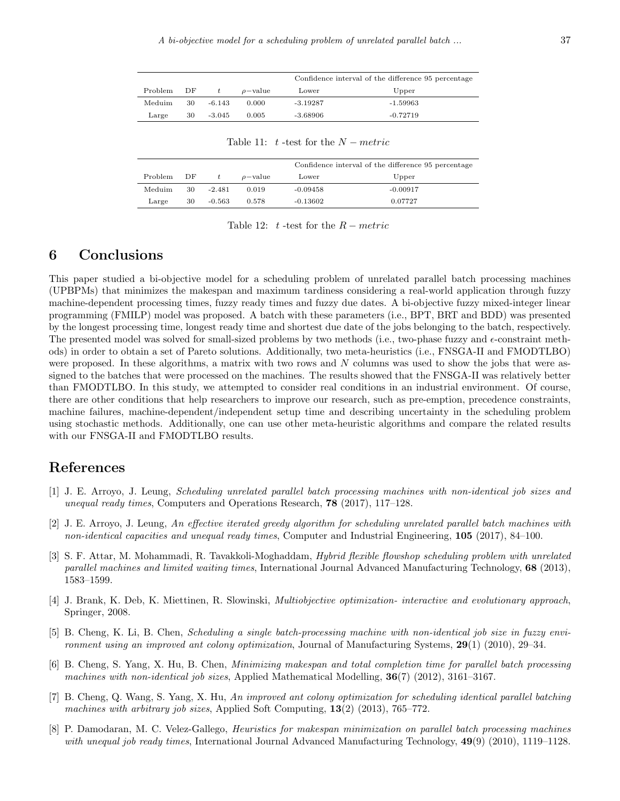|         |      |          |               | Confidence interval of the difference 95 percentage |            |  |
|---------|------|----------|---------------|-----------------------------------------------------|------------|--|
| Problem | - DF | t        | $\rho$ -value | Lower                                               | Upper      |  |
| Meduim  | 30   | $-6.143$ | 0.000         | $-3.19287$                                          | -1.59963   |  |
| Large   | 30   | $-3.045$ | 0.005         | $-3.68906$                                          | $-0.72719$ |  |

Table 11: *t* -test for the *N − metric*

|         |      |          |               |            | Confidence interval of the difference 95 percentage |  |  |
|---------|------|----------|---------------|------------|-----------------------------------------------------|--|--|
| Problem | - DF | t.       | $\rho$ -value | Lower      | Upper                                               |  |  |
| Meduim  | 30   | $-2.481$ | 0.019         | $-0.09458$ | $-0.00917$                                          |  |  |
| Large   | 30   | $-0.563$ | 0.578         | $-0.13602$ | 0.07727                                             |  |  |

Table 12: *t* -test for the *R − metric*

# **6 Conclusions**

This paper studied a bi-objective model for a scheduling problem of unrelated parallel batch processing machines (UPBPMs) that minimizes the makespan and maximum tardiness considering a real-world application through fuzzy machine-dependent processing times, fuzzy ready times and fuzzy due dates. A bi-objective fuzzy mixed-integer linear programming (FMILP) model was proposed. A batch with these parameters (i.e., BPT, BRT and BDD) was presented by the longest processing time, longest ready time and shortest due date of the jobs belonging to the batch, respectively. The presented model was solved for small-sized problems by two methods (i.e., two-phase fuzzy and *ϵ*-constraint methods) in order to obtain a set of Pareto solutions. Additionally, two meta-heuristics (i.e., FNSGA-II and FMODTLBO) were proposed. In these algorithms, a matrix with two rows and *N* columns was used to show the jobs that were assigned to the batches that were processed on the machines. The results showed that the FNSGA-II was relatively better than FMODTLBO. In this study, we attempted to consider real conditions in an industrial environment. Of course, there are other conditions that help researchers to improve our research, such as pre-emption, precedence constraints, machine failures, machine-dependent/independent setup time and describing uncertainty in the scheduling problem using stochastic methods. Additionally, one can use other meta-heuristic algorithms and compare the related results with our FNSGA-II and FMODTLBO results.

# **References**

- <span id="page-16-3"></span>[1] J. E. Arroyo, J. Leung, *Scheduling unrelated parallel batch processing machines with non-identical job sizes and unequal ready times*, Computers and Operations Research, **78** (2017), 117–128.
- <span id="page-16-4"></span>[2] J. E. Arroyo, J. Leung, *An effective iterated greedy algorithm for scheduling unrelated parallel batch machines with non-identical capacities and unequal ready times*, Computer and Industrial Engineering, **105** (2017), 84–100.
- <span id="page-16-2"></span>[3] S. F. Attar, M. Mohammadi, R. Tavakkoli-Moghaddam, *Hybrid flexible flowshop scheduling problem with unrelated parallel machines and limited waiting times*, International Journal Advanced Manufacturing Technology, **68** (2013), 1583–1599.
- [4] J. Brank, K. Deb, K. Miettinen, R. Slowinski, *Multiobjective optimization- interactive and evolutionary approach*, Springer, 2008.
- <span id="page-16-6"></span>[5] B. Cheng, K. Li, B. Chen, *Scheduling a single batch-processing machine with non-identical job size in fuzzy environment using an improved ant colony optimization*, Journal of Manufacturing Systems, **29**(1) (2010), 29–34.
- <span id="page-16-5"></span>[6] B. Cheng, S. Yang, X. Hu, B. Chen, *Minimizing makespan and total completion time for parallel batch processing machines with non-identical job sizes*, Applied Mathematical Modelling, **36**(7) (2012), 3161–3167.
- <span id="page-16-1"></span>[7] B. Cheng, Q. Wang, S. Yang, X. Hu, *An improved ant colony optimization for scheduling identical parallel batching machines with arbitrary job sizes*, Applied Soft Computing, **13**(2) (2013), 765–772.
- <span id="page-16-0"></span>[8] P. Damodaran, M. C. Velez-Gallego, *Heuristics for makespan minimization on parallel batch processing machines with unequal job ready times*, International Journal Advanced Manufacturing Technology, **49**(9) (2010), 1119–1128.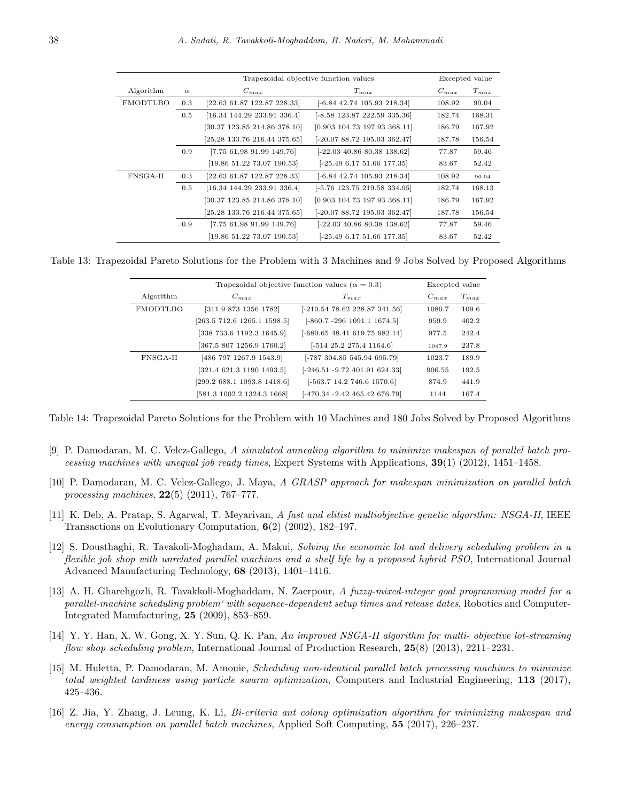|                       |     | Trapezoidal objective function values |                                         |           | Excepted value |  |
|-----------------------|-----|---------------------------------------|-----------------------------------------|-----------|----------------|--|
| Algorithm<br>$\alpha$ |     | $C_{max}$                             | $T_{max}$                               | $C_{max}$ | $T_{max}$      |  |
| FMODTLBO              | 0.3 | $[22.63 \t61.87 \t122.87 \t228.33]$   | $[-6.84, 42.74, 105.93, 218.34]$        | 108.92    | 90.04          |  |
|                       | 0.5 | $[16.34 \t144.29 \t233.91 \t336.4]$   | $[-8.58 \; 123.87 \; 222.59 \; 335.36]$ | 182.74    | 168.31         |  |
|                       |     | [30.37 123.85 214.86 378.10]          | $[0.903 \; 104.73 \; 197.93 \; 368.11]$ | 186.79    | 167.92         |  |
|                       |     | $[25.28 \t133.76 \t216.44 \t375.65]$  | $[-20.0788.72195.03362.47]$             | 187.78    | 156.54         |  |
|                       | 0.9 | $[7.75 \t61.98 \t91.99 \t149.76]$     | $[-22.03\ 40.86\ 80.38\ 138.62]$        | 77.87     | 59.46          |  |
|                       |     | [19.86 51.22 73.07 190.53]            | $[-25.49 6.17 51.66 177.35]$            | 83.67     | 52.42          |  |
| FNSGA-II              | 0.3 | [22.63 61.87 122.87 228.33]           | $[-6.84, 42.74, 105.93, 218.34]$        | 108.92    | 90.04          |  |
|                       | 0.5 | $[16.34 \t144.29 \t233.91 \t336.4]$   | $[-5.76 \t123.75 \t219.58 \t334.95]$    | 182.74    | 168.13         |  |
|                       |     | [30.37 123.85 214.86 378.10]          | $[0.903 \; 104.73 \; 197.93 \; 368.11]$ | 186.79    | 167.92         |  |
|                       |     | [25.28 133.76 216.44 375.65]          | $[-20.0788.72195.03362.47]$             | 187.78    | 156.54         |  |
|                       | 0.9 | $[7.75 \t61.98 \t91.99 \t149.76]$     | $[-22.03 \; 40.86 \; 80.38 \; 138.62]$  | 77.87     | 59.46          |  |
|                       |     | [19.86 51.22 73.07 190.53]            | $[-25.49 6.17 51.66 177.35]$            | 83.67     | 52.42          |  |

Table 13: Trapezoidal Pareto Solutions for the Problem with 3 Machines and 9 Jobs Solved by Proposed Algorithms

|           |                             | Excepted value                   |           |           |
|-----------|-----------------------------|----------------------------------|-----------|-----------|
| Algorithm | $C_{max}$                   | $T_{max}$                        | $C_{max}$ | $T_{max}$ |
| FMODTLBO  | [311.9 873 1356 1782]       | $[-210.54 78.62 228.87 341.56]$  | 1080.7    | 109.6     |
|           | [263.5 712.6 1265.1 1598.5] | $[-860.7 - 296 1091.1 1674.5]$   | 959.9     | 402.2     |
|           | [338 733.6 1192.3 1645.9]   | $[-680.6548.41619.75982.14]$     | 977.5     | 242.4     |
|           | [367.5 807 1256.9 1760.2]   | $[-514\ 25.2\ 275.4\ 1164.6]$    | 1047.9    | 237.8     |
| FNSGA-II  | [486 797 1267.9 1543.9]     | $[-787\ 304.85\ 545.94\ 695.79]$ | 1023.7    | 189.9     |
|           | [321.4 621.3 1190 1493.5]   | $[-246.51 - 9.72 401.91 624.33]$ | 906.55    | 192.5     |
|           | [299.2 688.1 1093.8 1418.6] | $[-563.7 14.2 746.6 1570.6]$     | 874.9     | 441.9     |
|           | [581.3 1002.2 1324.3 1668]  | $[-470.34 - 2.42 465.42 676.79]$ | 1144      | 167.4     |

Table 14: Trapezoidal Pareto Solutions for the Problem with 10 Machines and 180 Jobs Solved by Proposed Algorithms

- <span id="page-17-1"></span>[9] P. Damodaran, M. C. Velez-Gallego, *A simulated annealing algorithm to minimize makespan of parallel batch processing machines with unequal job ready times*, Expert Systems with Applications, **39**(1) (2012), 1451–1458.
- <span id="page-17-0"></span>[10] P. Damodaran, M. C. Velez-Gallego, J. Maya, *A GRASP approach for makespan minimization on parallel batch processing machines*, **22**(5) (2011), 767–777.
- <span id="page-17-6"></span>[11] K. Deb, A. Pratap, S. Agarwal, T. Meyarivan, *A fast and elitist multiobjective genetic algorithm: NSGA-II*, IEEE Transactions on Evolutionary Computation, **6**(2) (2002), 182–197.
- <span id="page-17-2"></span>[12] S. Dousthaghi, R. Tavakoli-Moghadam, A. Makui, *Solving the economic lot and delivery scheduling problem in a flexible job shop with unrelated parallel machines and a shelf life by a proposed hybrid PSO*, International Journal Advanced Manufacturing Technology, **68** (2013), 1401–1416.
- <span id="page-17-5"></span>[13] A. H. Gharehgozli, R. Tavakkoli-Moghaddam, N. Zaerpour, *A fuzzy-mixed-integer goal programming model for a parallel-machine scheduling problem' with sequence-dependent setup times and release dates*, Robotics and Computer-Integrated Manufacturing, **25** (2009), 853–859.
- <span id="page-17-7"></span>[14] Y. Y. Han, X. W. Gong, X. Y. Sun, Q. K. Pan, *An improved NSGA-II algorithm for multi- objective lot-streaming flow shop scheduling problem*, International Journal of Production Research, **25**(8) (2013), 2211–2231.
- <span id="page-17-3"></span>[15] M. Huletta, P. Damodaran, M. Amouie, *Scheduling non-identical parallel batch processing machines to minimize total weighted tardiness using particle swarm optimization*, Computers and Industrial Engineering, **113** (2017), 425–436.
- <span id="page-17-4"></span>[16] Z. Jia, Y. Zhang, J. Leung, K. Li, *Bi-criteria ant colony optimization algorithm for minimizing makespan and energy consumption on parallel batch machines*, Applied Soft Computing, **55** (2017), 226–237.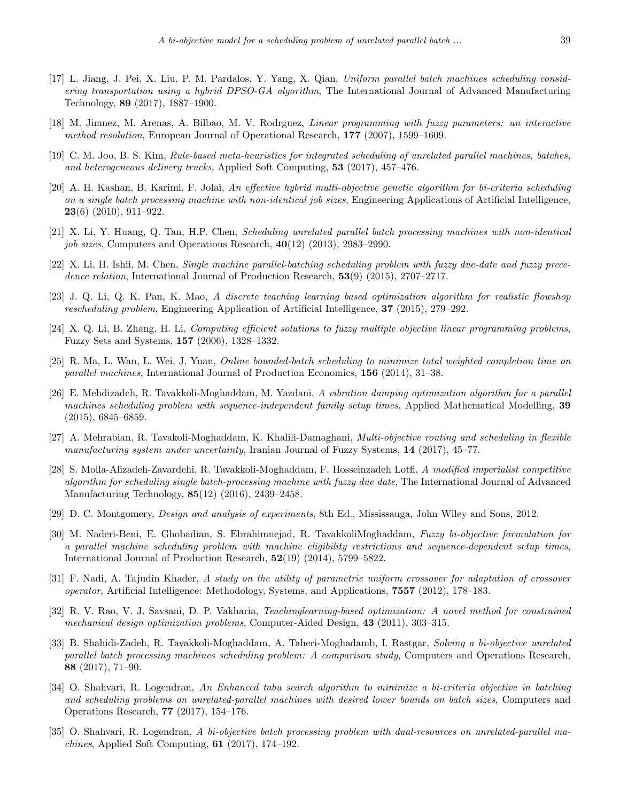- <span id="page-18-7"></span>[17] L. Jiang, J. Pei, X. Liu, P. M. Pardalos, Y. Yang, X. Qian, *Uniform parallel batch machines scheduling considering transportation using a hybrid DPSO-GA algorithm*, The International Journal of Advanced Manufacturing Technology, **89** (2017), 1887–1900.
- <span id="page-18-0"></span>[18] M. Jimnez, M. Arenas, A. Bilbao, M. V. Rodrguez, *Linear programming with fuzzy parameters: an interactive method resolution*, European Journal of Operational Research, **177** (2007), 1599–1609.
- <span id="page-18-6"></span>[19] C. M. Joo, B. S. Kim, *Rule-based meta-heuristics for integrated scheduling of unrelated parallel machines, batches, and heterogeneous delivery trucks*, Applied Soft Computing, **53** (2017), 457–476.
- <span id="page-18-8"></span>[20] A. H. Kashan, B. Karimi, F. Jolai, *An effective hybrid multi-objective genetic algorithm for bi-criteria scheduling on a single batch processing machine with non-identical job sizes*, Engineering Applications of Artificial Intelligence, **23**(6) (2010), 911–922.
- <span id="page-18-5"></span>[21] X. Li, Y. Huang, Q. Tan, H.P. Chen, *Scheduling unrelated parallel batch processing machines with non-identical job sizes*, Computers and Operations Research, **40**(12) (2013), 2983–2990.
- <span id="page-18-11"></span>[22] X. Li, H. Ishii, M. Chen, *Single machine parallel-batching scheduling problem with fuzzy due-date and fuzzy precedence relation*, International Journal of Production Research, **53**(9) (2015), 2707–2717.
- <span id="page-18-15"></span>[23] J. Q. Li, Q. K. Pan, K. Mao, *A discrete teaching learning based optimization algorithm for realistic flowshop rescheduling problem*, Engineering Application of Artificial Intelligence, **37** (2015), 279–292.
- <span id="page-18-13"></span>[24] X. Q. Li, B. Zhang, H. Li, *Computing efficient solutions to fuzzy multiple objective linear programming problems*, Fuzzy Sets and Systems, **157** (2006), 1328–1332.
- <span id="page-18-4"></span>[25] R. Ma, L. Wan, L. Wei, J. Yuan, *Online bounded-batch scheduling to minimize total weighted completion time on parallel machines*, International Journal of Production Economics, **156** (2014), 31–38.
- <span id="page-18-3"></span>[26] E. Mehdizadeh, R. Tavakkoli-Moghaddam, M. Yazdani, *A vibration damping optimization algorithm for a parallel machines scheduling problem with sequence-independent family setup times*, Applied Mathematical Modelling, **39** (2015), 6845–6859.
- <span id="page-18-2"></span>[27] A. Mehrabian, R. Tavakoli-Moghaddam, K. Khalili-Damaghani, *Multi-objective routing and scheduling in flexible manufacturing system under uncertainty*, Iranian Journal of Fuzzy Systems, **14** (2017), 45–77.
- <span id="page-18-12"></span>[28] S. Molla-Alizadeh-Zavardehi, R. Tavakkoli-Moghaddam, F. Hosseinzadeh Lotfi, *A modified imperialist competitive algorithm for scheduling single batch-processing machine with fuzzy due date*, The International Journal of Advanced Manufacturing Technology, **85**(12) (2016), 2439–2458.
- <span id="page-18-17"></span>[29] D. C. Montgomery, *Design and analysis of experiments*, 8th Ed., Mississauga, John Wiley and Sons, 2012.
- <span id="page-18-18"></span>[30] M. Naderi-Beni, E. Ghobadian, S. Ebrahimnejad, R. TavakkoliMoghaddam, *Fuzzy bi-objective formulation for a parallel machine scheduling problem with machine eligibility restrictions and sequence-dependent setup times*, International Journal of Production Research, **52**(19) (2014), 5799–5822.
- <span id="page-18-16"></span>[31] F. Nadi, A. Tajudin Khader, *A study on the utility of parametric uniform crossover for adaptation of crossover operator*, Artificial Intelligence: Methodology, Systems, and Applications, **7557** (2012), 178–183.
- <span id="page-18-14"></span>[32] R. V. Rao, V. J. Savsani, D. P. Vakharia, *Teachinglearning-based optimization: A novel method for constrained mechanical design optimization problems*, Computer-Aided Design, **43** (2011), 303–315.
- <span id="page-18-1"></span>[33] B. Shahidi-Zadeh, R. Tavakkoli-Moghaddam, A. Taheri-Moghadamb, I. Rastgar, *Solving a bi-objective unrelated parallel batch processing machines scheduling problem: A comparison study*, Computers and Operations Research, **88** (2017), 71–90.
- <span id="page-18-9"></span>[34] O. Shahvari, R. Logendran, *An Enhanced tabu search algorithm to minimize a bi-criteria objective in batching and scheduling problems on unrelated-parallel machines with desired lower bounds on batch sizes*, Computers and Operations Research, **77** (2017), 154–176.
- <span id="page-18-10"></span>[35] O. Shahvari, R. Logendran, *A bi-objective batch processing problem with dual-resources on unrelated-parallel machines*, Applied Soft Computing, **61** (2017), 174–192.